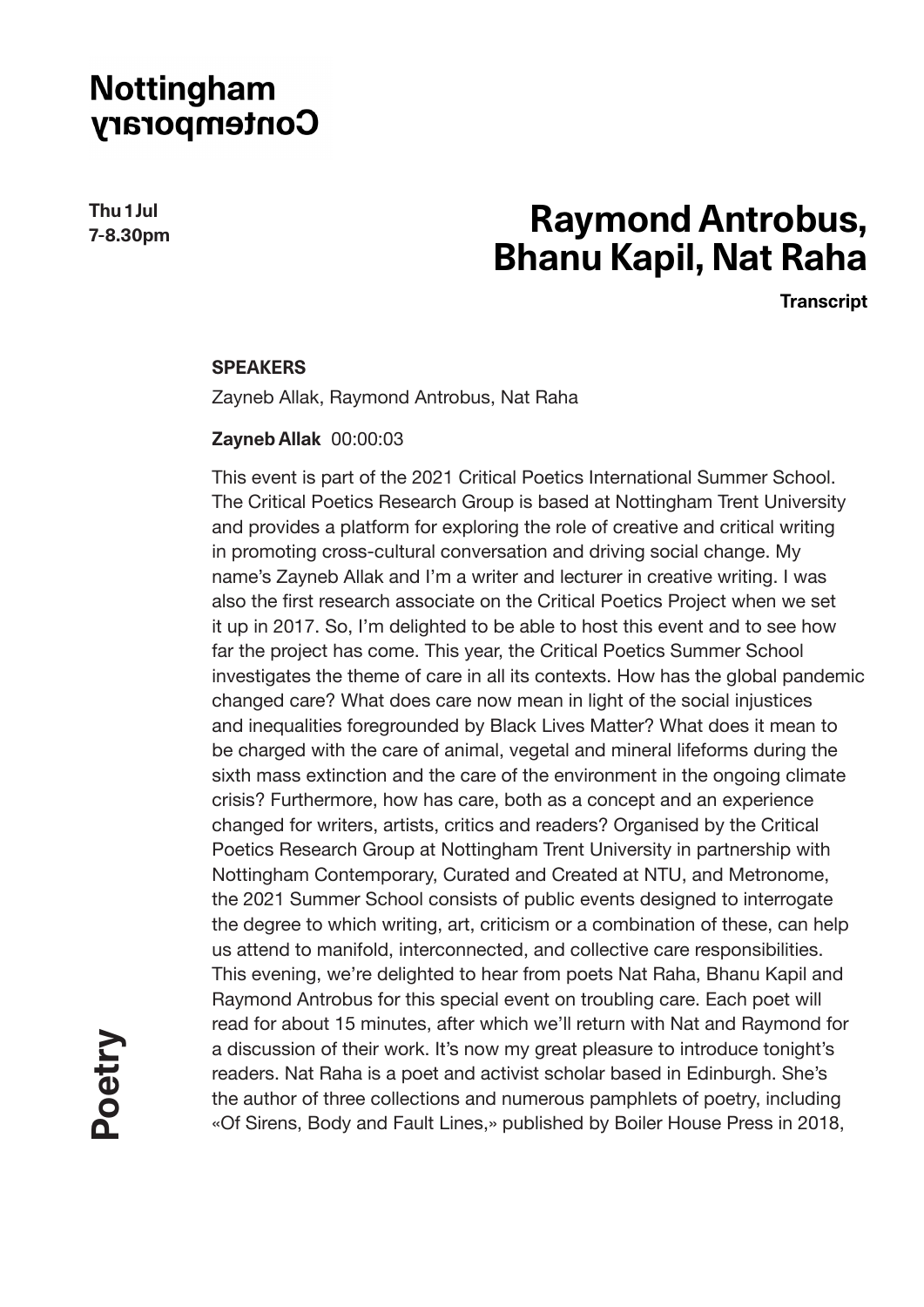**Thu 1 Jul 7-8.30pm**

# **Raymond Antrobus, Bhanu Kapil, Nat Raha**

**Transcript**

#### **SPEAKERS**

Zayneb Allak, Raymond Antrobus, Nat Raha

#### **Zayneb Allak** 00:00:03

This event is part of the 2021 Critical Poetics International Summer School. The Critical Poetics Research Group is based at Nottingham Trent University and provides a platform for exploring the role of creative and critical writing in promoting cross-cultural conversation and driving social change. My name's Zayneb Allak and I'm a writer and lecturer in creative writing. I was also the first research associate on the Critical Poetics Project when we set it up in 2017. So, I'm delighted to be able to host this event and to see how far the project has come. This year, the Critical Poetics Summer School investigates the theme of care in all its contexts. How has the global pandemic changed care? What does care now mean in light of the social injustices and inequalities foregrounded by Black Lives Matter? What does it mean to be charged with the care of animal, vegetal and mineral lifeforms during the sixth mass extinction and the care of the environment in the ongoing climate crisis? Furthermore, how has care, both as a concept and an experience changed for writers, artists, critics and readers? Organised by the Critical Poetics Research Group at Nottingham Trent University in partnership with Nottingham Contemporary, Curated and Created at NTU, and Metronome, the 2021 Summer School consists of public events designed to interrogate the degree to which writing, art, criticism or a combination of these, can help us attend to manifold, interconnected, and collective care responsibilities. This evening, we're delighted to hear from poets Nat Raha, Bhanu Kapil and Raymond Antrobus for this special event on troubling care. Each poet will read for about 15 minutes, after which we'll return with Nat and Raymond for a discussion of their work. It's now my great pleasure to introduce tonight's readers. Nat Raha is a poet and activist scholar based in Edinburgh. She's the author of three collections and numerous pamphlets of poetry, including «Of Sirens, Body and Fault Lines,» published by Boiler House Press in 2018,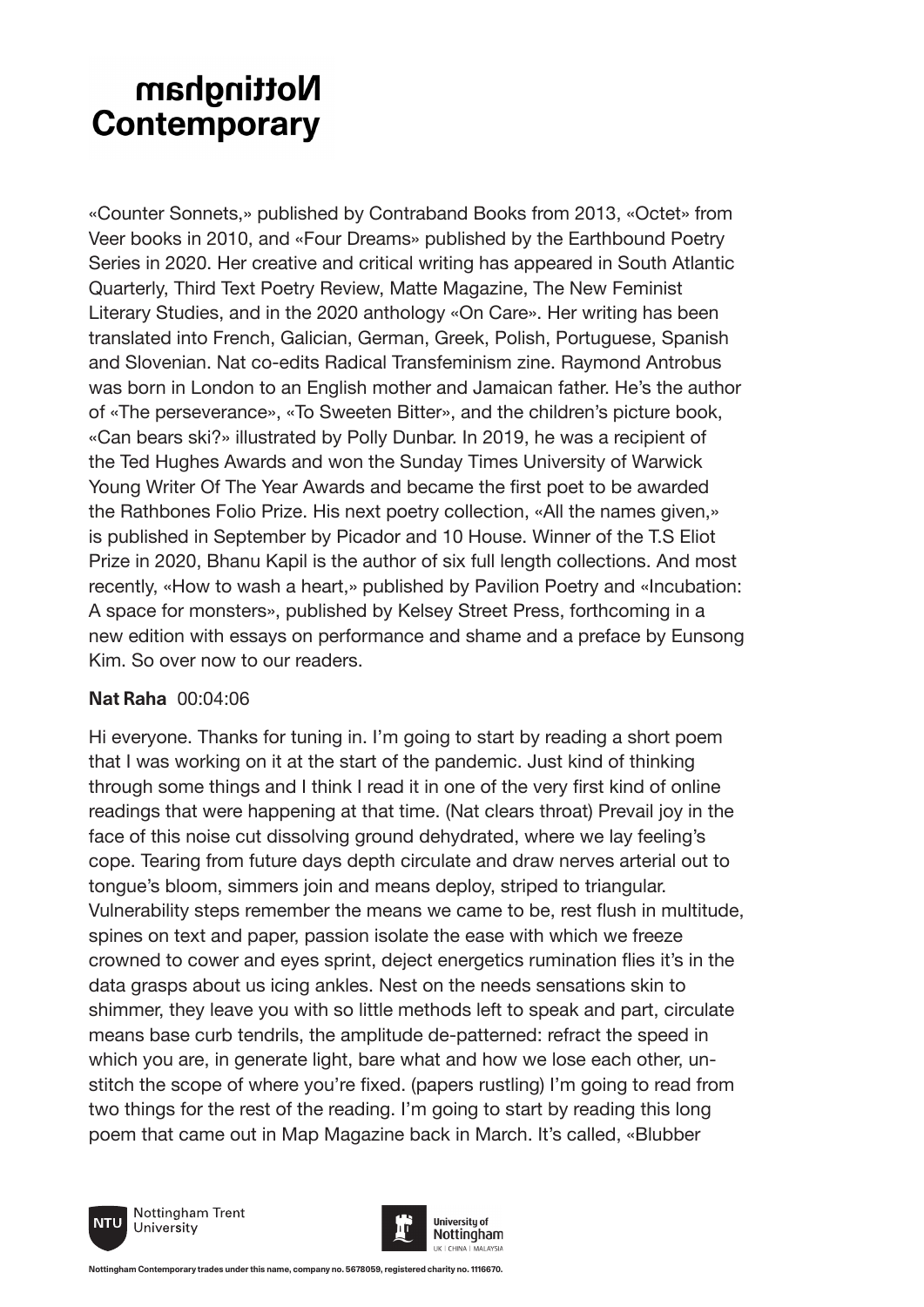«Counter Sonnets,» published by Contraband Books from 2013, «Octet» from Veer books in 2010, and «Four Dreams» published by the Earthbound Poetry Series in 2020. Her creative and critical writing has appeared in South Atlantic Quarterly, Third Text Poetry Review, Matte Magazine, The New Feminist Literary Studies, and in the 2020 anthology «On Care». Her writing has been translated into French, Galician, German, Greek, Polish, Portuguese, Spanish and Slovenian. Nat co-edits Radical Transfeminism zine. Raymond Antrobus was born in London to an English mother and Jamaican father. He's the author of «The perseverance», «To Sweeten Bitter», and the children's picture book, «Can bears ski?» illustrated by Polly Dunbar. In 2019, he was a recipient of the Ted Hughes Awards and won the Sunday Times University of Warwick Young Writer Of The Year Awards and became the first poet to be awarded the Rathbones Folio Prize. His next poetry collection, «All the names given,» is published in September by Picador and 10 House. Winner of the T.S Eliot Prize in 2020, Bhanu Kapil is the author of six full length collections. And most recently, «How to wash a heart,» published by Pavilion Poetry and «Incubation: A space for monsters», published by Kelsey Street Press, forthcoming in a new edition with essays on performance and shame and a preface by Eunsong Kim. So over now to our readers.

### **Nat Raha** 00:04:06

Hi everyone. Thanks for tuning in. I'm going to start by reading a short poem that I was working on it at the start of the pandemic. Just kind of thinking through some things and I think I read it in one of the very first kind of online readings that were happening at that time. (Nat clears throat) Prevail joy in the face of this noise cut dissolving ground dehydrated, where we lay feeling's cope. Tearing from future days depth circulate and draw nerves arterial out to tongue's bloom, simmers join and means deploy, striped to triangular. Vulnerability steps remember the means we came to be, rest flush in multitude, spines on text and paper, passion isolate the ease with which we freeze crowned to cower and eyes sprint, deject energetics rumination flies it's in the data grasps about us icing ankles. Nest on the needs sensations skin to shimmer, they leave you with so little methods left to speak and part, circulate means base curb tendrils, the amplitude de-patterned: refract the speed in which you are, in generate light, bare what and how we lose each other, unstitch the scope of where you're fixed. (papers rustling) I'm going to read from two things for the rest of the reading. I'm going to start by reading this long poem that came out in Map Magazine back in March. It's called, «Blubber





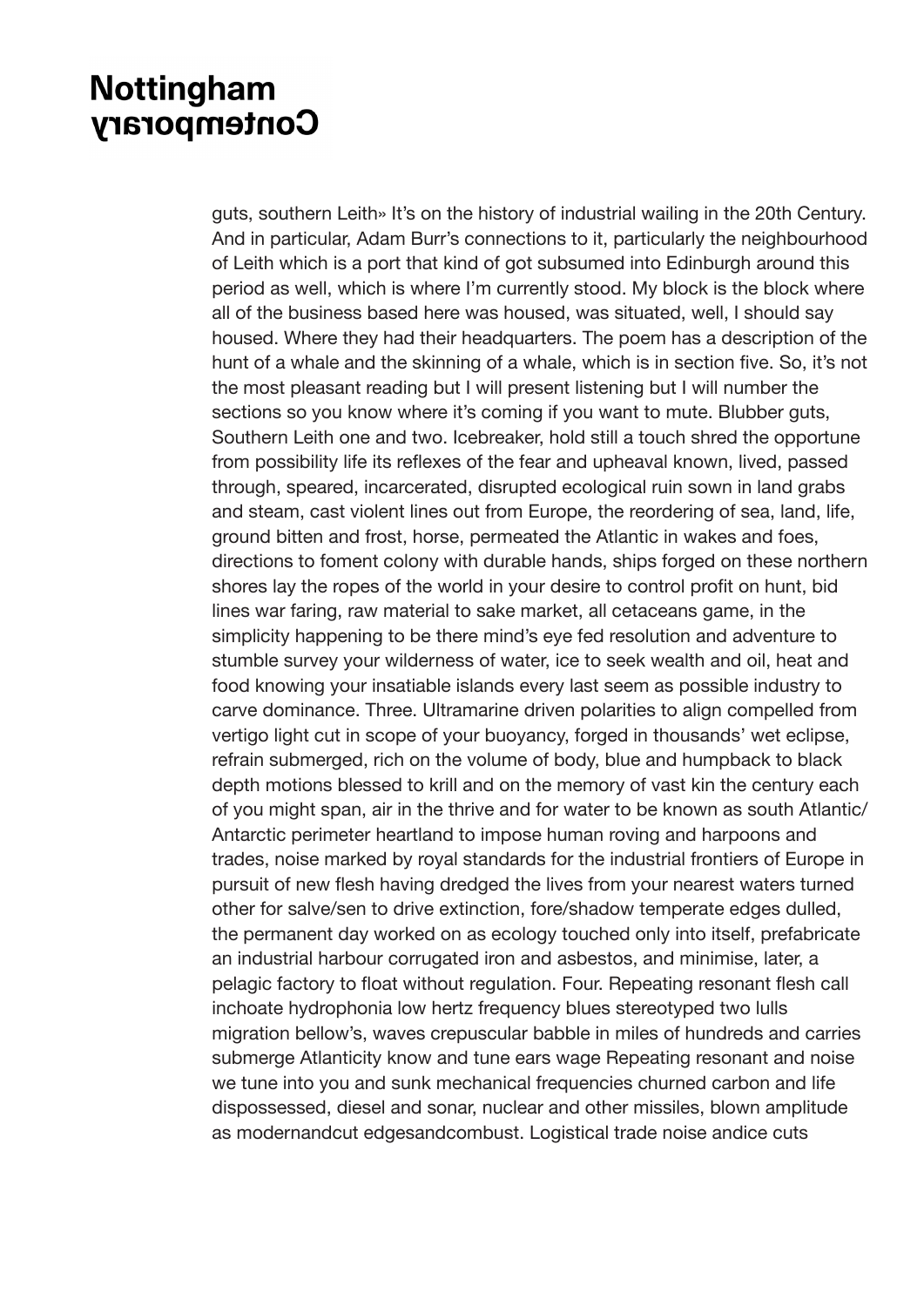guts, southern Leith» It's on the history of industrial wailing in the 20th Century. And in particular, Adam Burr's connections to it, particularly the neighbourhood of Leith which is a port that kind of got subsumed into Edinburgh around this period as well, which is where I'm currently stood. My block is the block where all of the business based here was housed, was situated, well, I should say housed. Where they had their headquarters. The poem has a description of the hunt of a whale and the skinning of a whale, which is in section five. So, it's not the most pleasant reading but I will present listening but I will number the sections so you know where it's coming if you want to mute. Blubber guts, Southern Leith one and two. Icebreaker, hold still a touch shred the opportune from possibility life its reflexes of the fear and upheaval known, lived, passed through, speared, incarcerated, disrupted ecological ruin sown in land grabs and steam, cast violent lines out from Europe, the reordering of sea, land, life, ground bitten and frost, horse, permeated the Atlantic in wakes and foes, directions to foment colony with durable hands, ships forged on these northern shores lay the ropes of the world in your desire to control profit on hunt, bid lines war faring, raw material to sake market, all cetaceans game, in the simplicity happening to be there mind's eye fed resolution and adventure to stumble survey your wilderness of water, ice to seek wealth and oil, heat and food knowing your insatiable islands every last seem as possible industry to carve dominance. Three. Ultramarine driven polarities to align compelled from vertigo light cut in scope of your buoyancy, forged in thousands' wet eclipse, refrain submerged, rich on the volume of body, blue and humpback to black depth motions blessed to krill and on the memory of vast kin the century each of you might span, air in the thrive and for water to be known as south Atlantic/ Antarctic perimeter heartland to impose human roving and harpoons and trades, noise marked by royal standards for the industrial frontiers of Europe in pursuit of new flesh having dredged the lives from your nearest waters turned other for salve/sen to drive extinction, fore/shadow temperate edges dulled, the permanent day worked on as ecology touched only into itself, prefabricate an industrial harbour corrugated iron and asbestos, and minimise, later, a pelagic factory to float without regulation. Four. Repeating resonant flesh call inchoate hydrophonia low hertz frequency blues stereotyped two lulls migration bellow's, waves crepuscular babble in miles of hundreds and carries submerge Atlanticity know and tune ears wage Repeating resonant and noise we tune into you and sunk mechanical frequencies churned carbon and life dispossessed, diesel and sonar, nuclear and other missiles, blown amplitude as modernandcut edgesandcombust. Logistical trade noise andice cuts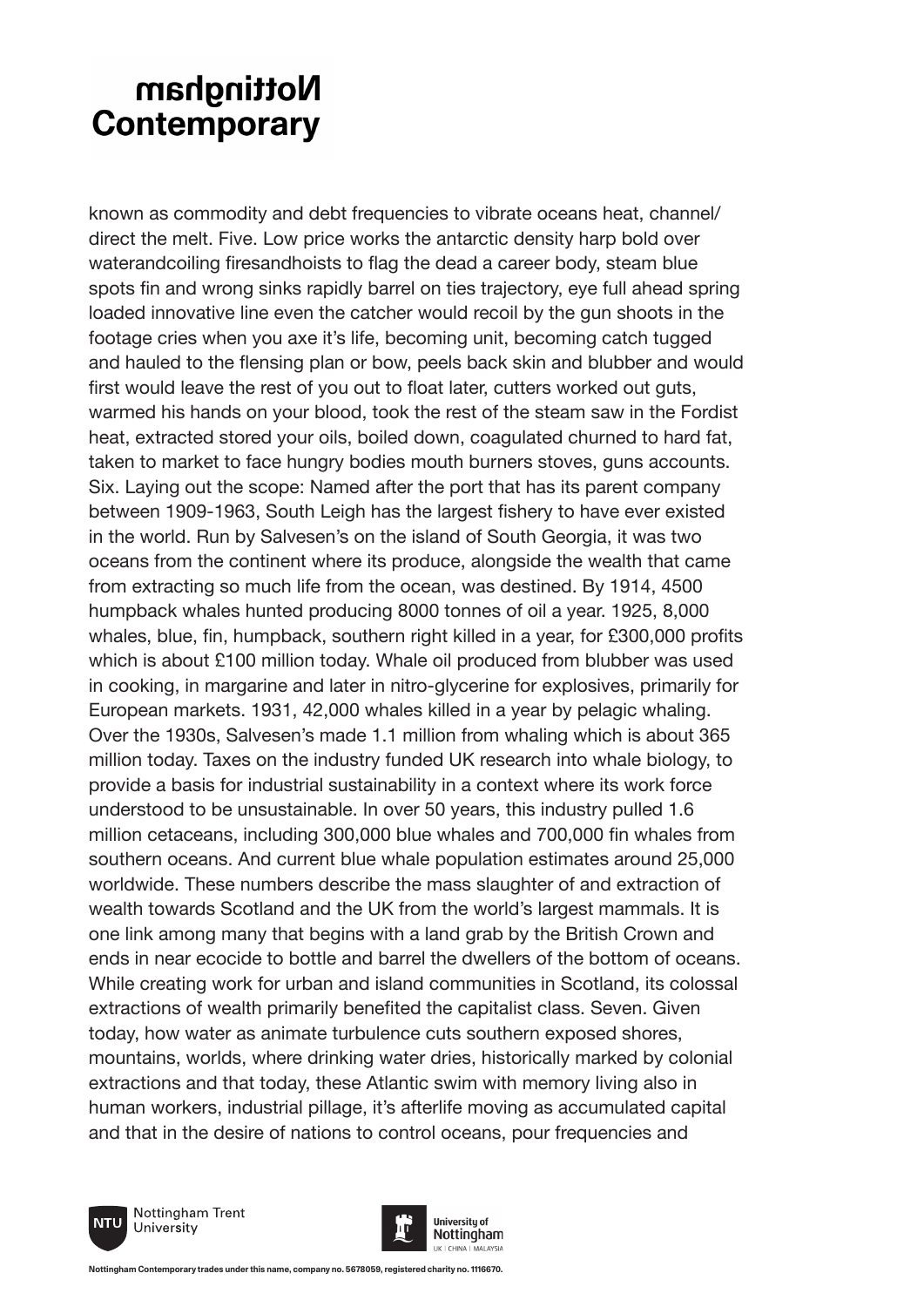known as commodity and debt frequencies to vibrate oceans heat, channel/ direct the melt. Five. Low price works the antarctic density harp bold over waterandcoiling firesandhoists to flag the dead a career body, steam blue spots fin and wrong sinks rapidly barrel on ties trajectory, eye full ahead spring loaded innovative line even the catcher would recoil by the gun shoots in the footage cries when you axe it's life, becoming unit, becoming catch tugged and hauled to the flensing plan or bow, peels back skin and blubber and would first would leave the rest of you out to float later, cutters worked out guts, warmed his hands on your blood, took the rest of the steam saw in the Fordist heat, extracted stored your oils, boiled down, coagulated churned to hard fat, taken to market to face hungry bodies mouth burners stoves, guns accounts. Six. Laying out the scope: Named after the port that has its parent company between 1909-1963, South Leigh has the largest fishery to have ever existed in the world. Run by Salvesen's on the island of South Georgia, it was two oceans from the continent where its produce, alongside the wealth that came from extracting so much life from the ocean, was destined. By 1914, 4500 humpback whales hunted producing 8000 tonnes of oil a year. 1925, 8,000 whales, blue, fin, humpback, southern right killed in a year, for £300,000 profits which is about £100 million today. Whale oil produced from blubber was used in cooking, in margarine and later in nitro-glycerine for explosives, primarily for European markets. 1931, 42,000 whales killed in a year by pelagic whaling. Over the 1930s, Salvesen's made 1.1 million from whaling which is about 365 million today. Taxes on the industry funded UK research into whale biology, to provide a basis for industrial sustainability in a context where its work force understood to be unsustainable. In over 50 years, this industry pulled 1.6 million cetaceans, including 300,000 blue whales and 700,000 fin whales from southern oceans. And current blue whale population estimates around 25,000 worldwide. These numbers describe the mass slaughter of and extraction of wealth towards Scotland and the UK from the world's largest mammals. It is one link among many that begins with a land grab by the British Crown and ends in near ecocide to bottle and barrel the dwellers of the bottom of oceans. While creating work for urban and island communities in Scotland, its colossal extractions of wealth primarily benefited the capitalist class. Seven. Given today, how water as animate turbulence cuts southern exposed shores, mountains, worlds, where drinking water dries, historically marked by colonial extractions and that today, these Atlantic swim with memory living also in human workers, industrial pillage, it's afterlife moving as accumulated capital and that in the desire of nations to control oceans, pour frequencies and





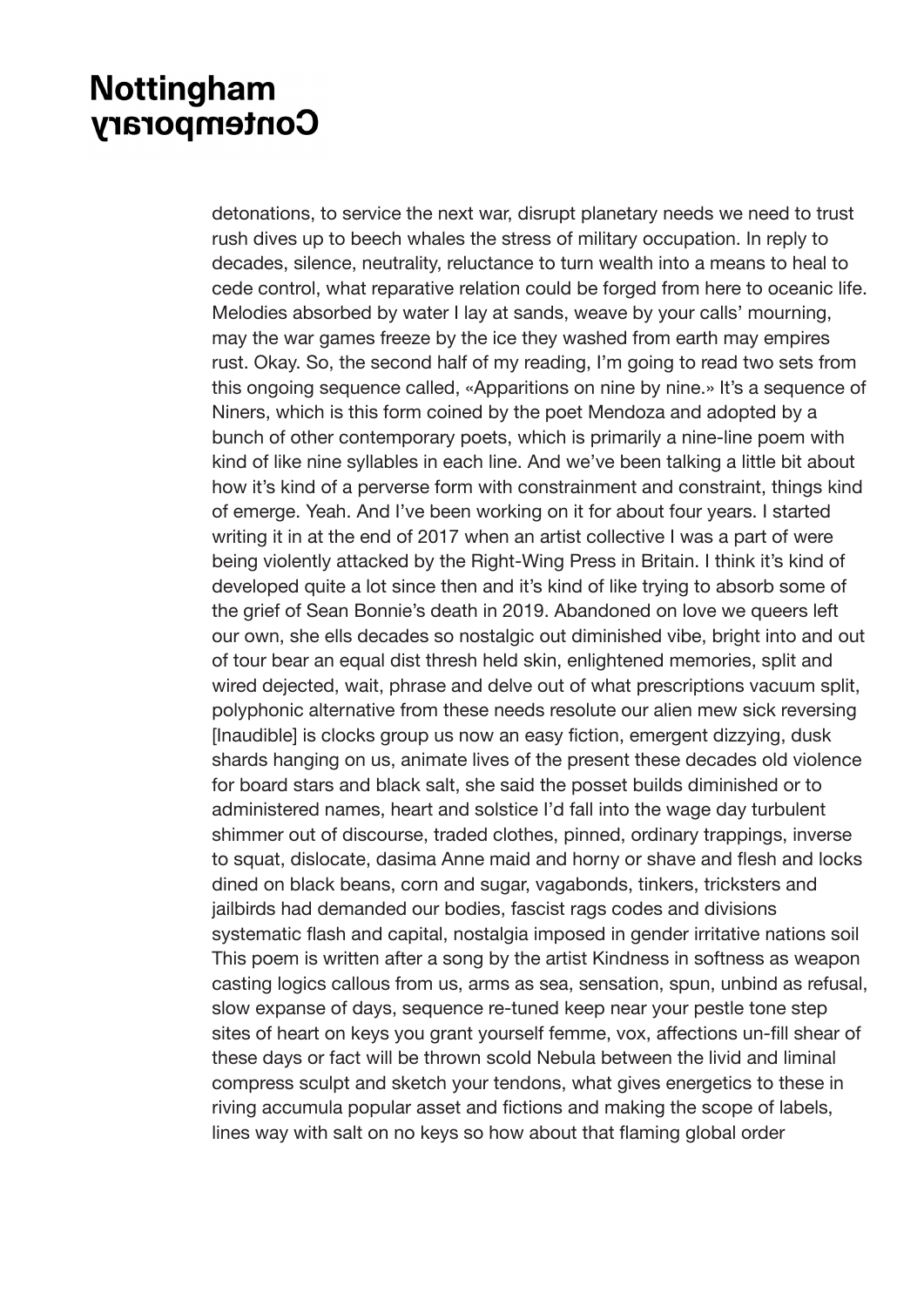detonations, to service the next war, disrupt planetary needs we need to trust rush dives up to beech whales the stress of military occupation. In reply to decades, silence, neutrality, reluctance to turn wealth into a means to heal to cede control, what reparative relation could be forged from here to oceanic life. Melodies absorbed by water I lay at sands, weave by your calls' mourning, may the war games freeze by the ice they washed from earth may empires rust. Okay. So, the second half of my reading, I'm going to read two sets from this ongoing sequence called, «Apparitions on nine by nine.» It's a sequence of Niners, which is this form coined by the poet Mendoza and adopted by a bunch of other contemporary poets, which is primarily a nine-line poem with kind of like nine syllables in each line. And we've been talking a little bit about how it's kind of a perverse form with constrainment and constraint, things kind of emerge. Yeah. And I've been working on it for about four years. I started writing it in at the end of 2017 when an artist collective I was a part of were being violently attacked by the Right-Wing Press in Britain. I think it's kind of developed quite a lot since then and it's kind of like trying to absorb some of the grief of Sean Bonnie's death in 2019. Abandoned on love we queers left our own, she ells decades so nostalgic out diminished vibe, bright into and out of tour bear an equal dist thresh held skin, enlightened memories, split and wired dejected, wait, phrase and delve out of what prescriptions vacuum split, polyphonic alternative from these needs resolute our alien mew sick reversing [Inaudible] is clocks group us now an easy fiction, emergent dizzying, dusk shards hanging on us, animate lives of the present these decades old violence for board stars and black salt, she said the posset builds diminished or to administered names, heart and solstice I'd fall into the wage day turbulent shimmer out of discourse, traded clothes, pinned, ordinary trappings, inverse to squat, dislocate, dasima Anne maid and horny or shave and flesh and locks dined on black beans, corn and sugar, vagabonds, tinkers, tricksters and jailbirds had demanded our bodies, fascist rags codes and divisions systematic flash and capital, nostalgia imposed in gender irritative nations soil This poem is written after a song by the artist Kindness in softness as weapon casting logics callous from us, arms as sea, sensation, spun, unbind as refusal, slow expanse of days, sequence re-tuned keep near your pestle tone step sites of heart on keys you grant yourself femme, vox, affections un-fill shear of these days or fact will be thrown scold Nebula between the livid and liminal compress sculpt and sketch your tendons, what gives energetics to these in riving accumula popular asset and fictions and making the scope of labels, lines way with salt on no keys so how about that flaming global order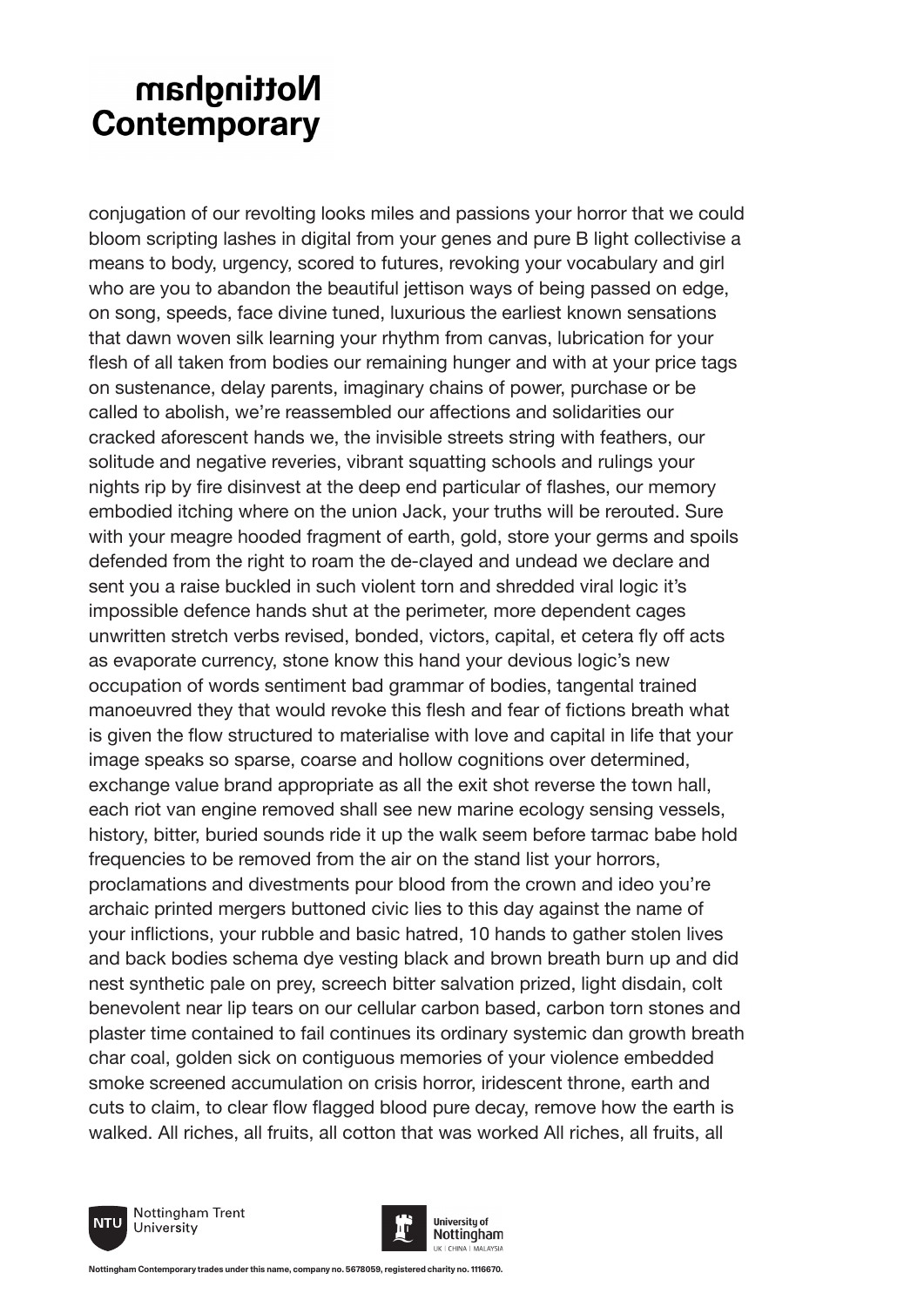conjugation of our revolting looks miles and passions your horror that we could bloom scripting lashes in digital from your genes and pure B light collectivise a means to body, urgency, scored to futures, revoking your vocabulary and girl who are you to abandon the beautiful jettison ways of being passed on edge, on song, speeds, face divine tuned, luxurious the earliest known sensations that dawn woven silk learning your rhythm from canvas, lubrication for your flesh of all taken from bodies our remaining hunger and with at your price tags on sustenance, delay parents, imaginary chains of power, purchase or be called to abolish, we're reassembled our affections and solidarities our cracked aforescent hands we, the invisible streets string with feathers, our solitude and negative reveries, vibrant squatting schools and rulings your nights rip by fire disinvest at the deep end particular of flashes, our memory embodied itching where on the union Jack, your truths will be rerouted. Sure with your meagre hooded fragment of earth, gold, store your germs and spoils defended from the right to roam the de-clayed and undead we declare and sent you a raise buckled in such violent torn and shredded viral logic it's impossible defence hands shut at the perimeter, more dependent cages unwritten stretch verbs revised, bonded, victors, capital, et cetera fly off acts as evaporate currency, stone know this hand your devious logic's new occupation of words sentiment bad grammar of bodies, tangental trained manoeuvred they that would revoke this flesh and fear of fictions breath what is given the flow structured to materialise with love and capital in life that your image speaks so sparse, coarse and hollow cognitions over determined, exchange value brand appropriate as all the exit shot reverse the town hall, each riot van engine removed shall see new marine ecology sensing vessels, history, bitter, buried sounds ride it up the walk seem before tarmac babe hold frequencies to be removed from the air on the stand list your horrors, proclamations and divestments pour blood from the crown and ideo you're archaic printed mergers buttoned civic lies to this day against the name of your inflictions, your rubble and basic hatred, 10 hands to gather stolen lives and back bodies schema dye vesting black and brown breath burn up and did nest synthetic pale on prey, screech bitter salvation prized, light disdain, colt benevolent near lip tears on our cellular carbon based, carbon torn stones and plaster time contained to fail continues its ordinary systemic dan growth breath char coal, golden sick on contiguous memories of your violence embedded smoke screened accumulation on crisis horror, iridescent throne, earth and cuts to claim, to clear flow flagged blood pure decay, remove how the earth is walked. All riches, all fruits, all cotton that was worked All riches, all fruits, all



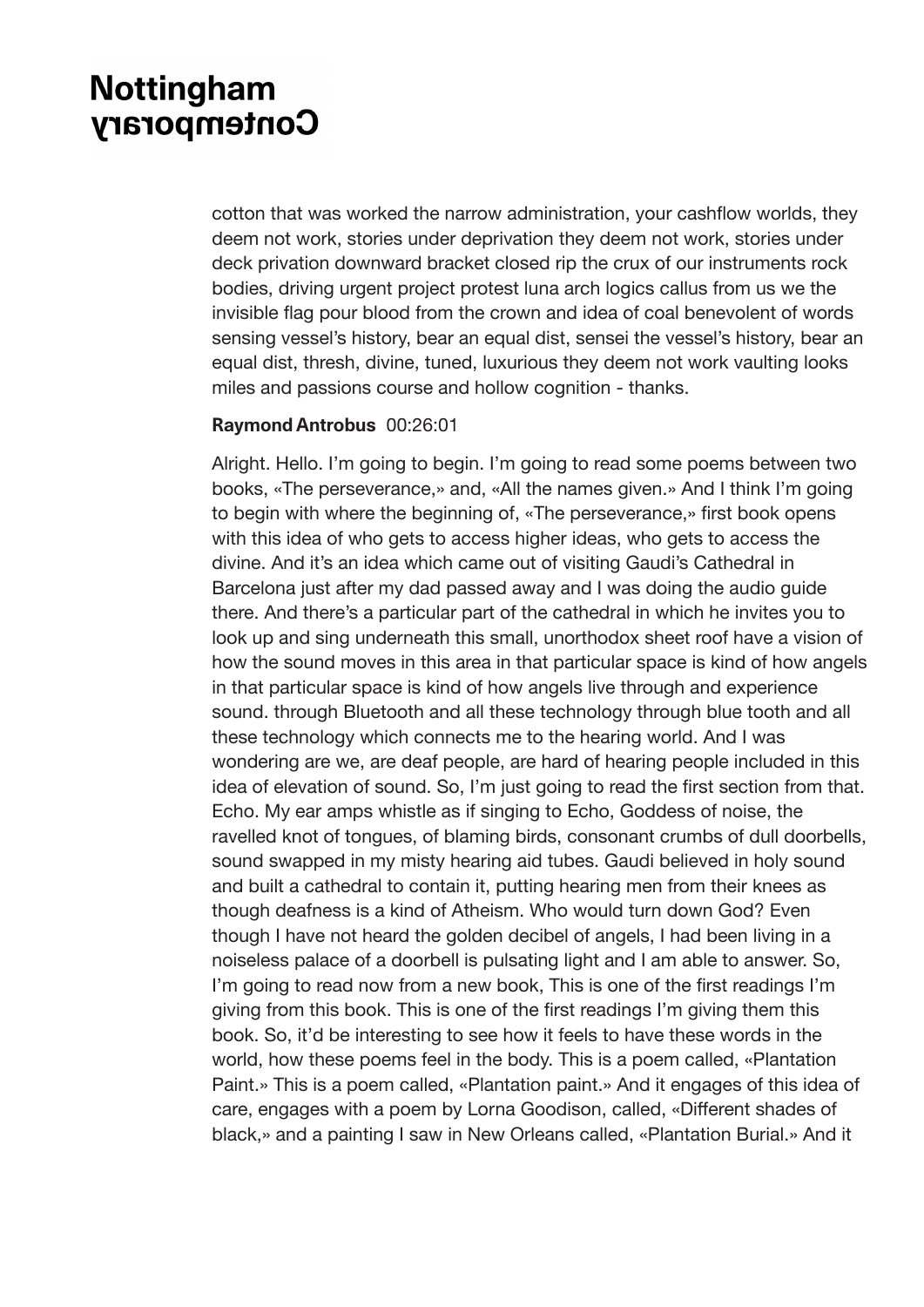cotton that was worked the narrow administration, your cashflow worlds, they deem not work, stories under deprivation they deem not work, stories under deck privation downward bracket closed rip the crux of our instruments rock bodies, driving urgent project protest luna arch logics callus from us we the invisible flag pour blood from the crown and idea of coal benevolent of words sensing vessel's history, bear an equal dist, sensei the vessel's history, bear an equal dist, thresh, divine, tuned, luxurious they deem not work vaulting looks miles and passions course and hollow cognition - thanks.

#### **Raymond Antrobus** 00:26:01

Alright. Hello. I'm going to begin. I'm going to read some poems between two books, «The perseverance,» and, «All the names given.» And I think I'm going to begin with where the beginning of, «The perseverance,» first book opens with this idea of who gets to access higher ideas, who gets to access the divine. And it's an idea which came out of visiting Gaudi's Cathedral in Barcelona just after my dad passed away and I was doing the audio guide there. And there's a particular part of the cathedral in which he invites you to look up and sing underneath this small, unorthodox sheet roof have a vision of how the sound moves in this area in that particular space is kind of how angels in that particular space is kind of how angels live through and experience sound. through Bluetooth and all these technology through blue tooth and all these technology which connects me to the hearing world. And I was wondering are we, are deaf people, are hard of hearing people included in this idea of elevation of sound. So, I'm just going to read the first section from that. Echo. My ear amps whistle as if singing to Echo, Goddess of noise, the ravelled knot of tongues, of blaming birds, consonant crumbs of dull doorbells, sound swapped in my misty hearing aid tubes. Gaudi believed in holy sound and built a cathedral to contain it, putting hearing men from their knees as though deafness is a kind of Atheism. Who would turn down God? Even though I have not heard the golden decibel of angels, I had been living in a noiseless palace of a doorbell is pulsating light and I am able to answer. So, I'm going to read now from a new book, This is one of the first readings I'm giving from this book. This is one of the first readings I'm giving them this book. So, it'd be interesting to see how it feels to have these words in the world, how these poems feel in the body. This is a poem called, «Plantation Paint.» This is a poem called, «Plantation paint.» And it engages of this idea of care, engages with a poem by Lorna Goodison, called, «Different shades of black,» and a painting I saw in New Orleans called, «Plantation Burial.» And it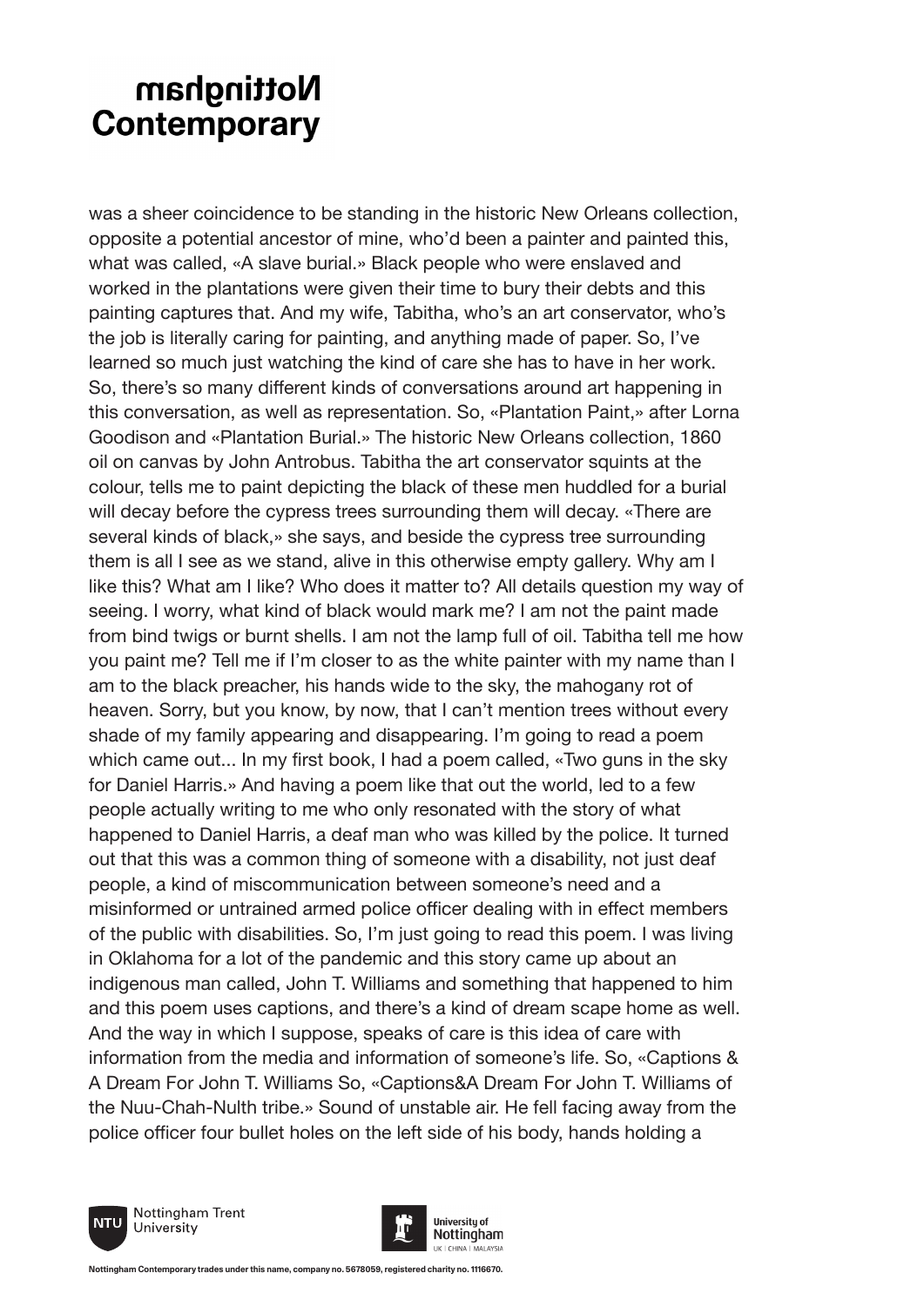was a sheer coincidence to be standing in the historic New Orleans collection, opposite a potential ancestor of mine, who'd been a painter and painted this, what was called, «A slave burial.» Black people who were enslaved and worked in the plantations were given their time to bury their debts and this painting captures that. And my wife, Tabitha, who's an art conservator, who's the job is literally caring for painting, and anything made of paper. So, I've learned so much just watching the kind of care she has to have in her work. So, there's so many different kinds of conversations around art happening in this conversation, as well as representation. So, «Plantation Paint,» after Lorna Goodison and «Plantation Burial.» The historic New Orleans collection, 1860 oil on canvas by John Antrobus. Tabitha the art conservator squints at the colour, tells me to paint depicting the black of these men huddled for a burial will decay before the cypress trees surrounding them will decay. «There are several kinds of black,» she says, and beside the cypress tree surrounding them is all I see as we stand, alive in this otherwise empty gallery. Why am I like this? What am I like? Who does it matter to? All details question my way of seeing. I worry, what kind of black would mark me? I am not the paint made from bind twigs or burnt shells. I am not the lamp full of oil. Tabitha tell me how you paint me? Tell me if I'm closer to as the white painter with my name than I am to the black preacher, his hands wide to the sky, the mahogany rot of heaven. Sorry, but you know, by now, that I can't mention trees without every shade of my family appearing and disappearing. I'm going to read a poem which came out... In my first book, I had a poem called, «Two guns in the sky for Daniel Harris.» And having a poem like that out the world, led to a few people actually writing to me who only resonated with the story of what happened to Daniel Harris, a deaf man who was killed by the police. It turned out that this was a common thing of someone with a disability, not just deaf people, a kind of miscommunication between someone's need and a misinformed or untrained armed police officer dealing with in effect members of the public with disabilities. So, I'm just going to read this poem. I was living in Oklahoma for a lot of the pandemic and this story came up about an indigenous man called, John T. Williams and something that happened to him and this poem uses captions, and there's a kind of dream scape home as well. And the way in which I suppose, speaks of care is this idea of care with information from the media and information of someone's life. So, «Captions & A Dream For John T. Williams So, «Captions&A Dream For John T. Williams of the Nuu-Chah-Nulth tribe.» Sound of unstable air. He fell facing away from the police officer four bullet holes on the left side of his body, hands holding a





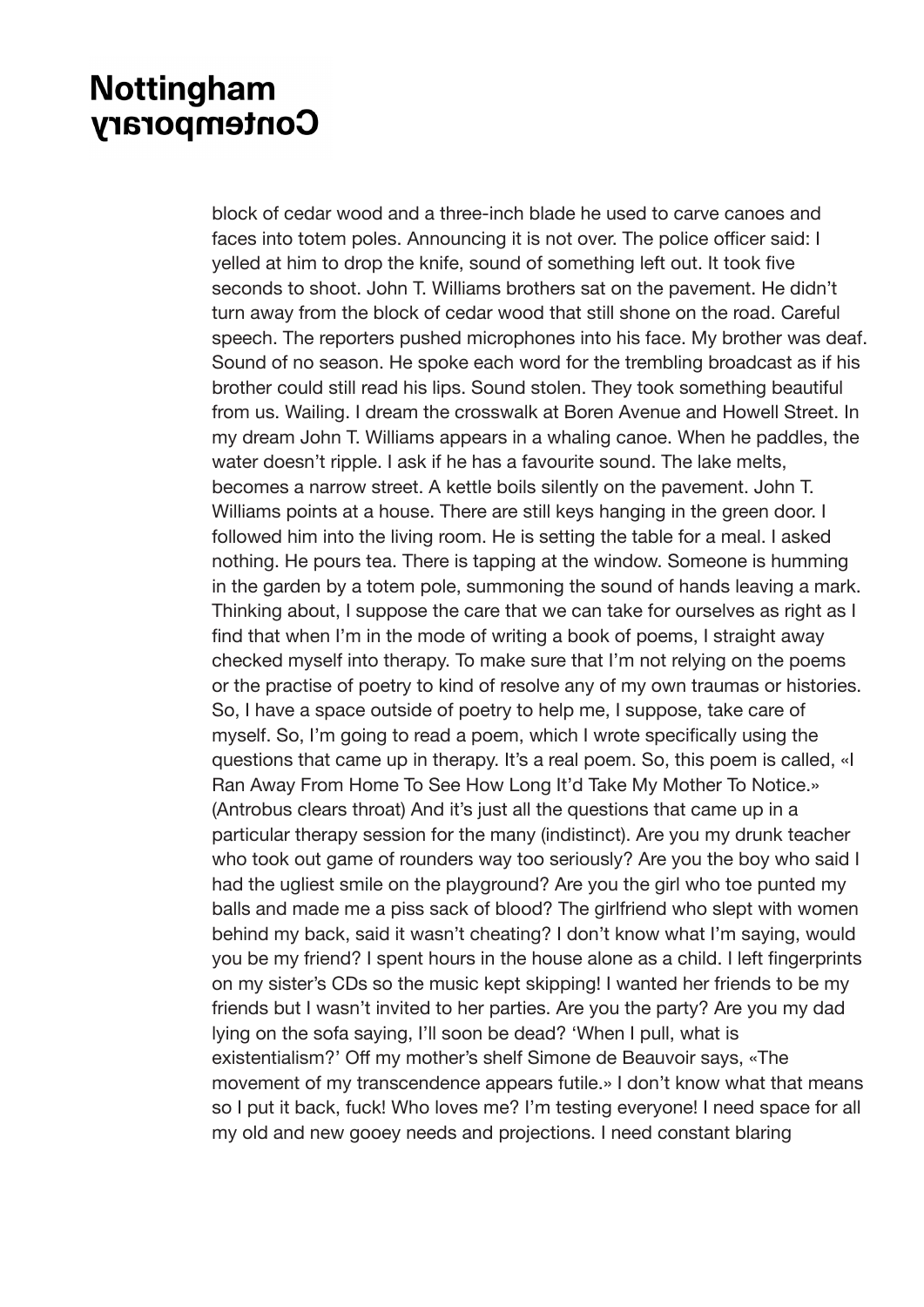block of cedar wood and a three-inch blade he used to carve canoes and faces into totem poles. Announcing it is not over. The police officer said: I yelled at him to drop the knife, sound of something left out. It took five seconds to shoot. John T. Williams brothers sat on the pavement. He didn't turn away from the block of cedar wood that still shone on the road. Careful speech. The reporters pushed microphones into his face. My brother was deaf. Sound of no season. He spoke each word for the trembling broadcast as if his brother could still read his lips. Sound stolen. They took something beautiful from us. Wailing. I dream the crosswalk at Boren Avenue and Howell Street. In my dream John T. Williams appears in a whaling canoe. When he paddles, the water doesn't ripple. I ask if he has a favourite sound. The lake melts, becomes a narrow street. A kettle boils silently on the pavement. John T. Williams points at a house. There are still keys hanging in the green door. I followed him into the living room. He is setting the table for a meal. I asked nothing. He pours tea. There is tapping at the window. Someone is humming in the garden by a totem pole, summoning the sound of hands leaving a mark. Thinking about, I suppose the care that we can take for ourselves as right as I find that when I'm in the mode of writing a book of poems, I straight away checked myself into therapy. To make sure that I'm not relying on the poems or the practise of poetry to kind of resolve any of my own traumas or histories. So, I have a space outside of poetry to help me, I suppose, take care of myself. So, I'm going to read a poem, which I wrote specifically using the questions that came up in therapy. It's a real poem. So, this poem is called, «I Ran Away From Home To See How Long It'd Take My Mother To Notice.» (Antrobus clears throat) And it's just all the questions that came up in a particular therapy session for the many (indistinct). Are you my drunk teacher who took out game of rounders way too seriously? Are you the boy who said I had the ugliest smile on the playground? Are you the girl who toe punted my balls and made me a piss sack of blood? The girlfriend who slept with women behind my back, said it wasn't cheating? I don't know what I'm saying, would you be my friend? I spent hours in the house alone as a child. I left fingerprints on my sister's CDs so the music kept skipping! I wanted her friends to be my friends but I wasn't invited to her parties. Are you the party? Are you my dad lying on the sofa saying, I'll soon be dead? 'When I pull, what is existentialism?' Off my mother's shelf Simone de Beauvoir says, «The movement of my transcendence appears futile.» I don't know what that means so I put it back, fuck! Who loves me? I'm testing everyone! I need space for all my old and new gooey needs and projections. I need constant blaring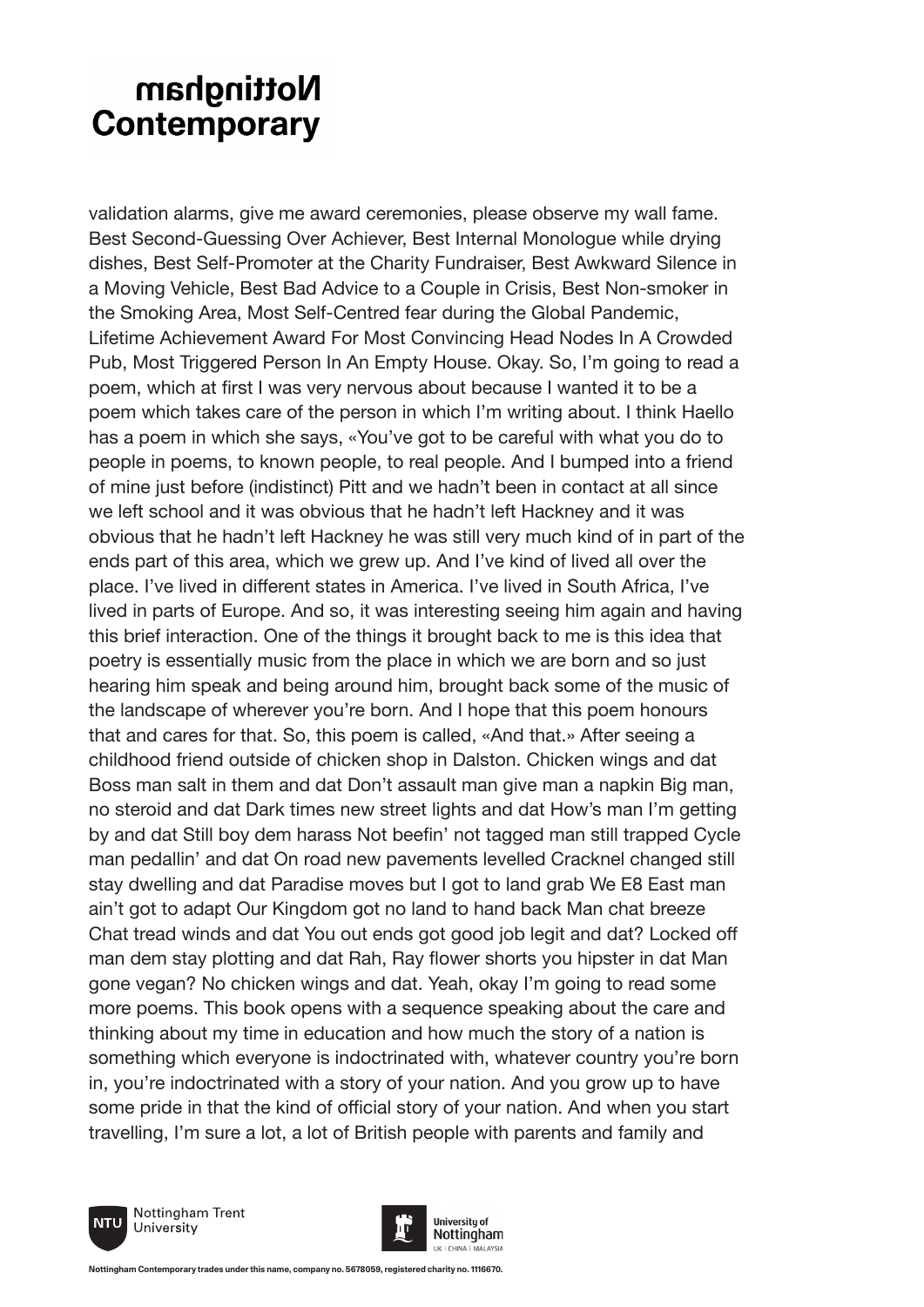validation alarms, give me award ceremonies, please observe my wall fame. Best Second-Guessing Over Achiever, Best Internal Monologue while drying dishes, Best Self-Promoter at the Charity Fundraiser, Best Awkward Silence in a Moving Vehicle, Best Bad Advice to a Couple in Crisis, Best Non-smoker in the Smoking Area, Most Self-Centred fear during the Global Pandemic, Lifetime Achievement Award For Most Convincing Head Nodes In A Crowded Pub, Most Triggered Person In An Empty House. Okay. So, I'm going to read a poem, which at first I was very nervous about because I wanted it to be a poem which takes care of the person in which I'm writing about. I think Haello has a poem in which she says, «You've got to be careful with what you do to people in poems, to known people, to real people. And I bumped into a friend of mine just before (indistinct) Pitt and we hadn't been in contact at all since we left school and it was obvious that he hadn't left Hackney and it was obvious that he hadn't left Hackney he was still very much kind of in part of the ends part of this area, which we grew up. And I've kind of lived all over the place. I've lived in different states in America. I've lived in South Africa, I've lived in parts of Europe. And so, it was interesting seeing him again and having this brief interaction. One of the things it brought back to me is this idea that poetry is essentially music from the place in which we are born and so just hearing him speak and being around him, brought back some of the music of the landscape of wherever you're born. And I hope that this poem honours that and cares for that. So, this poem is called, «And that.» After seeing a childhood friend outside of chicken shop in Dalston. Chicken wings and dat Boss man salt in them and dat Don't assault man give man a napkin Big man, no steroid and dat Dark times new street lights and dat How's man I'm getting by and dat Still boy dem harass Not beefin' not tagged man still trapped Cycle man pedallin' and dat On road new pavements levelled Cracknel changed still stay dwelling and dat Paradise moves but I got to land grab We E8 East man ain't got to adapt Our Kingdom got no land to hand back Man chat breeze Chat tread winds and dat You out ends got good job legit and dat? Locked off man dem stay plotting and dat Rah, Ray flower shorts you hipster in dat Man gone vegan? No chicken wings and dat. Yeah, okay I'm going to read some more poems. This book opens with a sequence speaking about the care and thinking about my time in education and how much the story of a nation is something which everyone is indoctrinated with, whatever country you're born in, you're indoctrinated with a story of your nation. And you grow up to have some pride in that the kind of official story of your nation. And when you start travelling, I'm sure a lot, a lot of British people with parents and family and



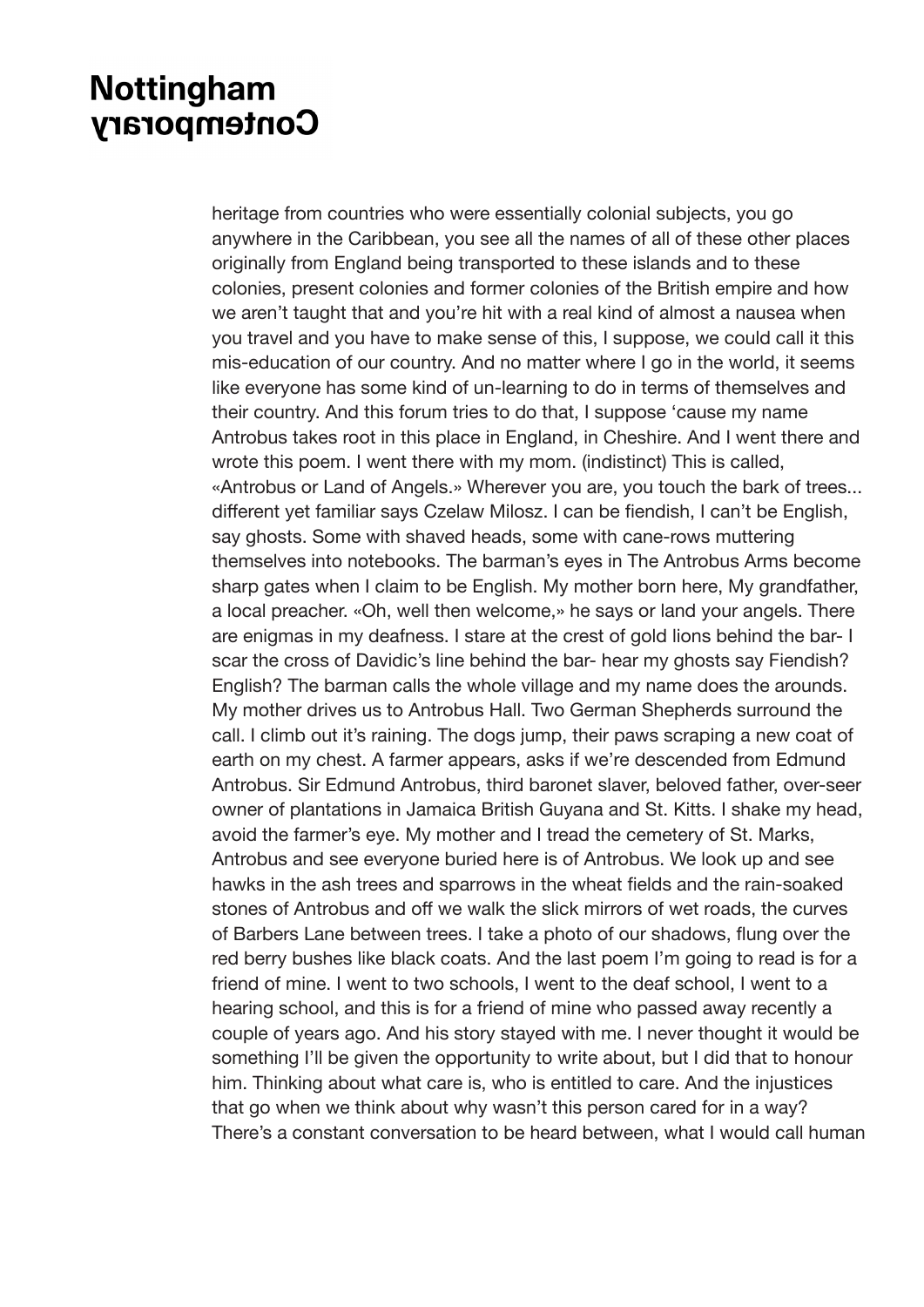heritage from countries who were essentially colonial subjects, you go anywhere in the Caribbean, you see all the names of all of these other places originally from England being transported to these islands and to these colonies, present colonies and former colonies of the British empire and how we aren't taught that and you're hit with a real kind of almost a nausea when you travel and you have to make sense of this, I suppose, we could call it this mis-education of our country. And no matter where I go in the world, it seems like everyone has some kind of un-learning to do in terms of themselves and their country. And this forum tries to do that, I suppose 'cause my name Antrobus takes root in this place in England, in Cheshire. And I went there and wrote this poem. I went there with my mom. (indistinct) This is called, «Antrobus or Land of Angels.» Wherever you are, you touch the bark of trees... different yet familiar says Czelaw Milosz. I can be fiendish, I can't be English, say ghosts. Some with shaved heads, some with cane-rows muttering themselves into notebooks. The barman's eyes in The Antrobus Arms become sharp gates when I claim to be English. My mother born here, My grandfather, a local preacher. «Oh, well then welcome,» he says or land your angels. There are enigmas in my deafness. I stare at the crest of gold lions behind the bar- I scar the cross of Davidic's line behind the bar- hear my ghosts say Fiendish? English? The barman calls the whole village and my name does the arounds. My mother drives us to Antrobus Hall. Two German Shepherds surround the call. I climb out it's raining. The dogs jump, their paws scraping a new coat of earth on my chest. A farmer appears, asks if we're descended from Edmund Antrobus. Sir Edmund Antrobus, third baronet slaver, beloved father, over-seer owner of plantations in Jamaica British Guyana and St. Kitts. I shake my head, avoid the farmer's eye. My mother and I tread the cemetery of St. Marks, Antrobus and see everyone buried here is of Antrobus. We look up and see hawks in the ash trees and sparrows in the wheat fields and the rain-soaked stones of Antrobus and off we walk the slick mirrors of wet roads, the curves of Barbers Lane between trees. I take a photo of our shadows, flung over the red berry bushes like black coats. And the last poem I'm going to read is for a friend of mine. I went to two schools, I went to the deaf school, I went to a hearing school, and this is for a friend of mine who passed away recently a couple of years ago. And his story stayed with me. I never thought it would be something I'll be given the opportunity to write about, but I did that to honour him. Thinking about what care is, who is entitled to care. And the injustices that go when we think about why wasn't this person cared for in a way? There's a constant conversation to be heard between, what I would call human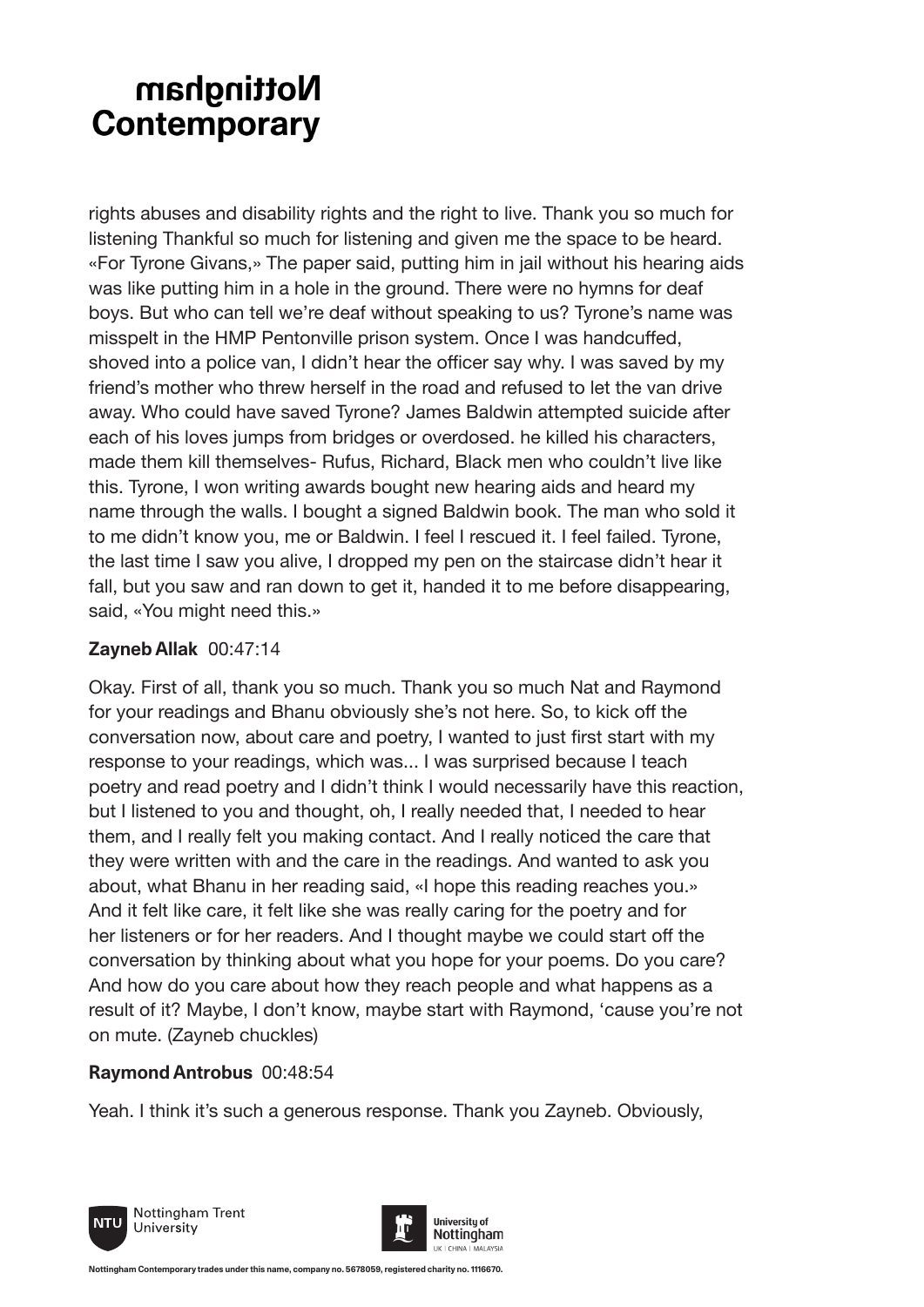rights abuses and disability rights and the right to live. Thank you so much for listening Thankful so much for listening and given me the space to be heard. «For Tyrone Givans,» The paper said, putting him in jail without his hearing aids was like putting him in a hole in the ground. There were no hymns for deaf boys. But who can tell we're deaf without speaking to us? Tyrone's name was misspelt in the HMP Pentonville prison system. Once I was handcuffed, shoved into a police van, I didn't hear the officer say why. I was saved by my friend's mother who threw herself in the road and refused to let the van drive away. Who could have saved Tyrone? James Baldwin attempted suicide after each of his loves jumps from bridges or overdosed. he killed his characters, made them kill themselves- Rufus, Richard, Black men who couldn't live like this. Tyrone, I won writing awards bought new hearing aids and heard my name through the walls. I bought a signed Baldwin book. The man who sold it to me didn't know you, me or Baldwin. I feel I rescued it. I feel failed. Tyrone, the last time I saw you alive, I dropped my pen on the staircase didn't hear it fall, but you saw and ran down to get it, handed it to me before disappearing, said, «You might need this.»

### **Zayneb Allak** 00:47:14

Okay. First of all, thank you so much. Thank you so much Nat and Raymond for your readings and Bhanu obviously she's not here. So, to kick off the conversation now, about care and poetry, I wanted to just first start with my response to your readings, which was... I was surprised because I teach poetry and read poetry and I didn't think I would necessarily have this reaction, but I listened to you and thought, oh, I really needed that, I needed to hear them, and I really felt you making contact. And I really noticed the care that they were written with and the care in the readings. And wanted to ask you about, what Bhanu in her reading said, «I hope this reading reaches you.» And it felt like care, it felt like she was really caring for the poetry and for her listeners or for her readers. And I thought maybe we could start off the conversation by thinking about what you hope for your poems. Do you care? And how do you care about how they reach people and what happens as a result of it? Maybe, I don't know, maybe start with Raymond, 'cause you're not on mute. (Zayneb chuckles)

### **Raymond Antrobus** 00:48:54

Yeah. I think it's such a generous response. Thank you Zayneb. Obviously,



Nottingham Trent University

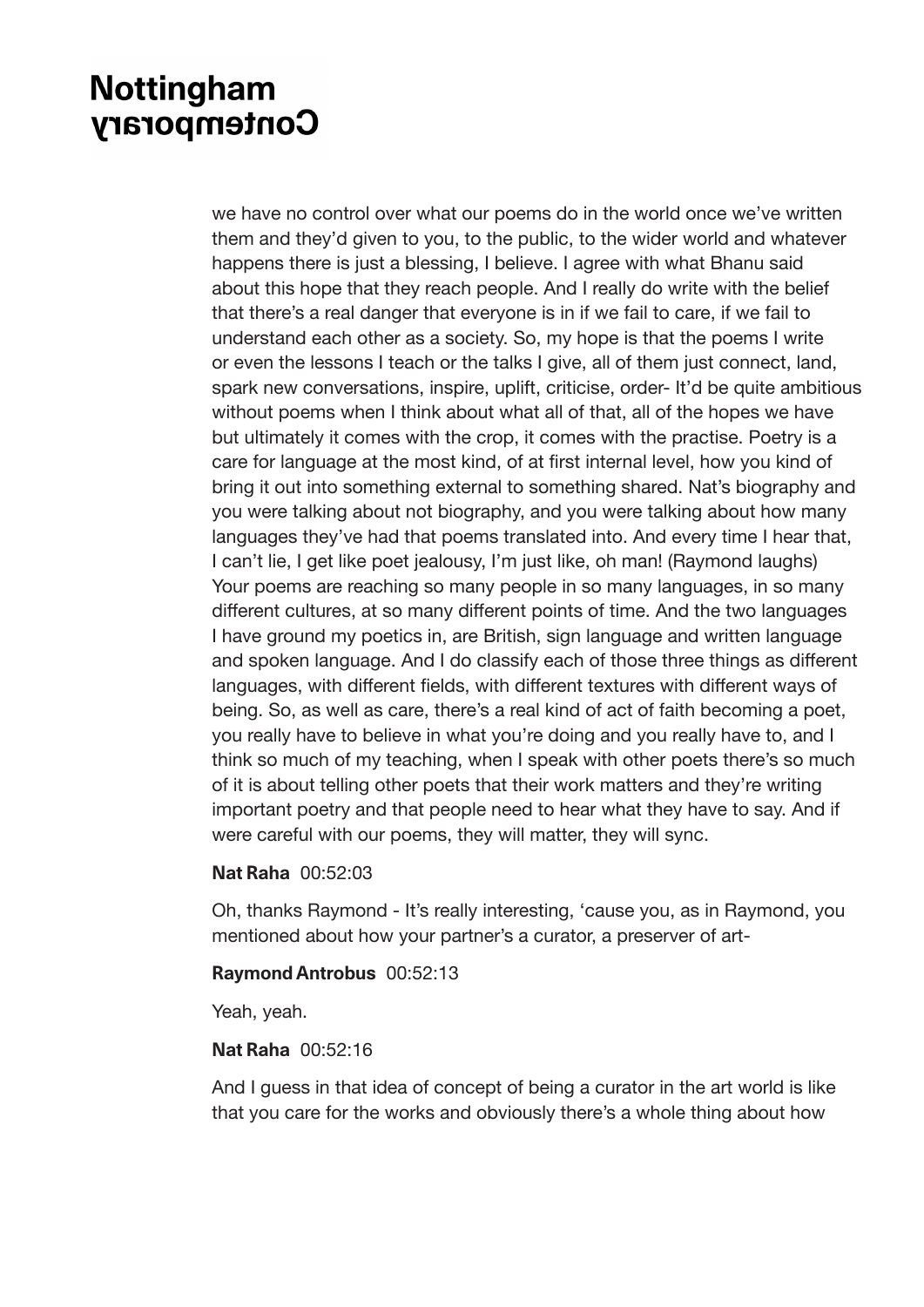we have no control over what our poems do in the world once we've written them and they'd given to you, to the public, to the wider world and whatever happens there is just a blessing, I believe. I agree with what Bhanu said about this hope that they reach people. And I really do write with the belief that there's a real danger that everyone is in if we fail to care, if we fail to understand each other as a society. So, my hope is that the poems I write or even the lessons I teach or the talks I give, all of them just connect, land, spark new conversations, inspire, uplift, criticise, order- It'd be quite ambitious without poems when I think about what all of that, all of the hopes we have but ultimately it comes with the crop, it comes with the practise. Poetry is a care for language at the most kind, of at first internal level, how you kind of bring it out into something external to something shared. Nat's biography and you were talking about not biography, and you were talking about how many languages they've had that poems translated into. And every time I hear that, I can't lie, I get like poet jealousy, I'm just like, oh man! (Raymond laughs) Your poems are reaching so many people in so many languages, in so many different cultures, at so many different points of time. And the two languages I have ground my poetics in, are British, sign language and written language and spoken language. And I do classify each of those three things as different languages, with different fields, with different textures with different ways of being. So, as well as care, there's a real kind of act of faith becoming a poet, you really have to believe in what you're doing and you really have to, and I think so much of my teaching, when I speak with other poets there's so much of it is about telling other poets that their work matters and they're writing important poetry and that people need to hear what they have to say. And if were careful with our poems, they will matter, they will sync.

#### **Nat Raha** 00:52:03

Oh, thanks Raymond - It's really interesting, 'cause you, as in Raymond, you mentioned about how your partner's a curator, a preserver of art-

#### **Raymond Antrobus** 00:52:13

Yeah, yeah.

#### **Nat Raha** 00:52:16

And I guess in that idea of concept of being a curator in the art world is like that you care for the works and obviously there's a whole thing about how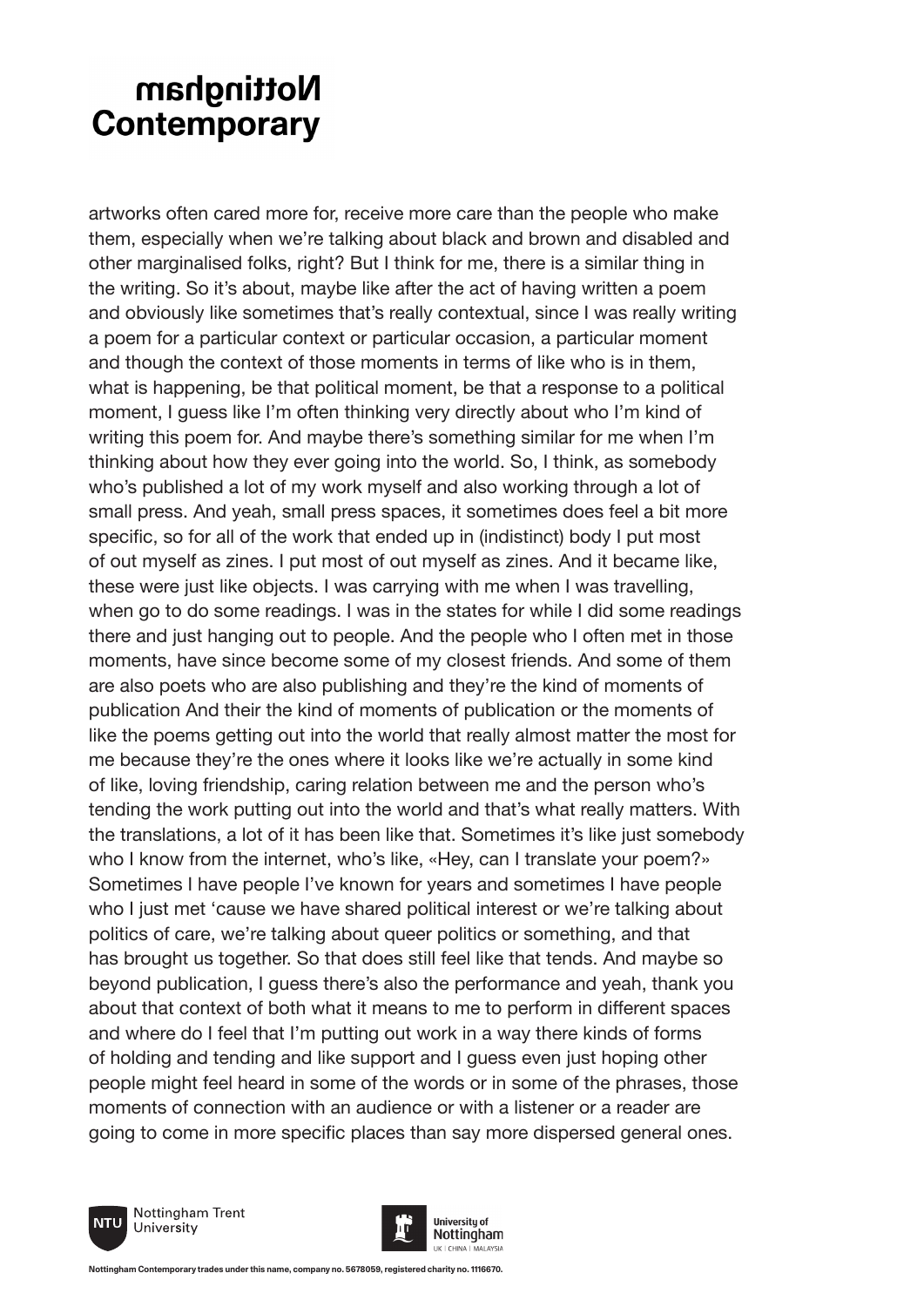artworks often cared more for, receive more care than the people who make them, especially when we're talking about black and brown and disabled and other marginalised folks, right? But I think for me, there is a similar thing in the writing. So it's about, maybe like after the act of having written a poem and obviously like sometimes that's really contextual, since I was really writing a poem for a particular context or particular occasion, a particular moment and though the context of those moments in terms of like who is in them, what is happening, be that political moment, be that a response to a political moment, I guess like I'm often thinking very directly about who I'm kind of writing this poem for. And maybe there's something similar for me when I'm thinking about how they ever going into the world. So, I think, as somebody who's published a lot of my work myself and also working through a lot of small press. And yeah, small press spaces, it sometimes does feel a bit more specific, so for all of the work that ended up in (indistinct) body I put most of out myself as zines. I put most of out myself as zines. And it became like, these were just like objects. I was carrying with me when I was travelling, when go to do some readings. I was in the states for while I did some readings there and just hanging out to people. And the people who I often met in those moments, have since become some of my closest friends. And some of them are also poets who are also publishing and they're the kind of moments of publication And their the kind of moments of publication or the moments of like the poems getting out into the world that really almost matter the most for me because they're the ones where it looks like we're actually in some kind of like, loving friendship, caring relation between me and the person who's tending the work putting out into the world and that's what really matters. With the translations, a lot of it has been like that. Sometimes it's like just somebody who I know from the internet, who's like, «Hey, can I translate your poem?» Sometimes I have people I've known for years and sometimes I have people who I just met 'cause we have shared political interest or we're talking about politics of care, we're talking about queer politics or something, and that has brought us together. So that does still feel like that tends. And maybe so beyond publication, I guess there's also the performance and yeah, thank you about that context of both what it means to me to perform in different spaces and where do I feel that I'm putting out work in a way there kinds of forms of holding and tending and like support and I guess even just hoping other people might feel heard in some of the words or in some of the phrases, those moments of connection with an audience or with a listener or a reader are going to come in more specific places than say more dispersed general ones.



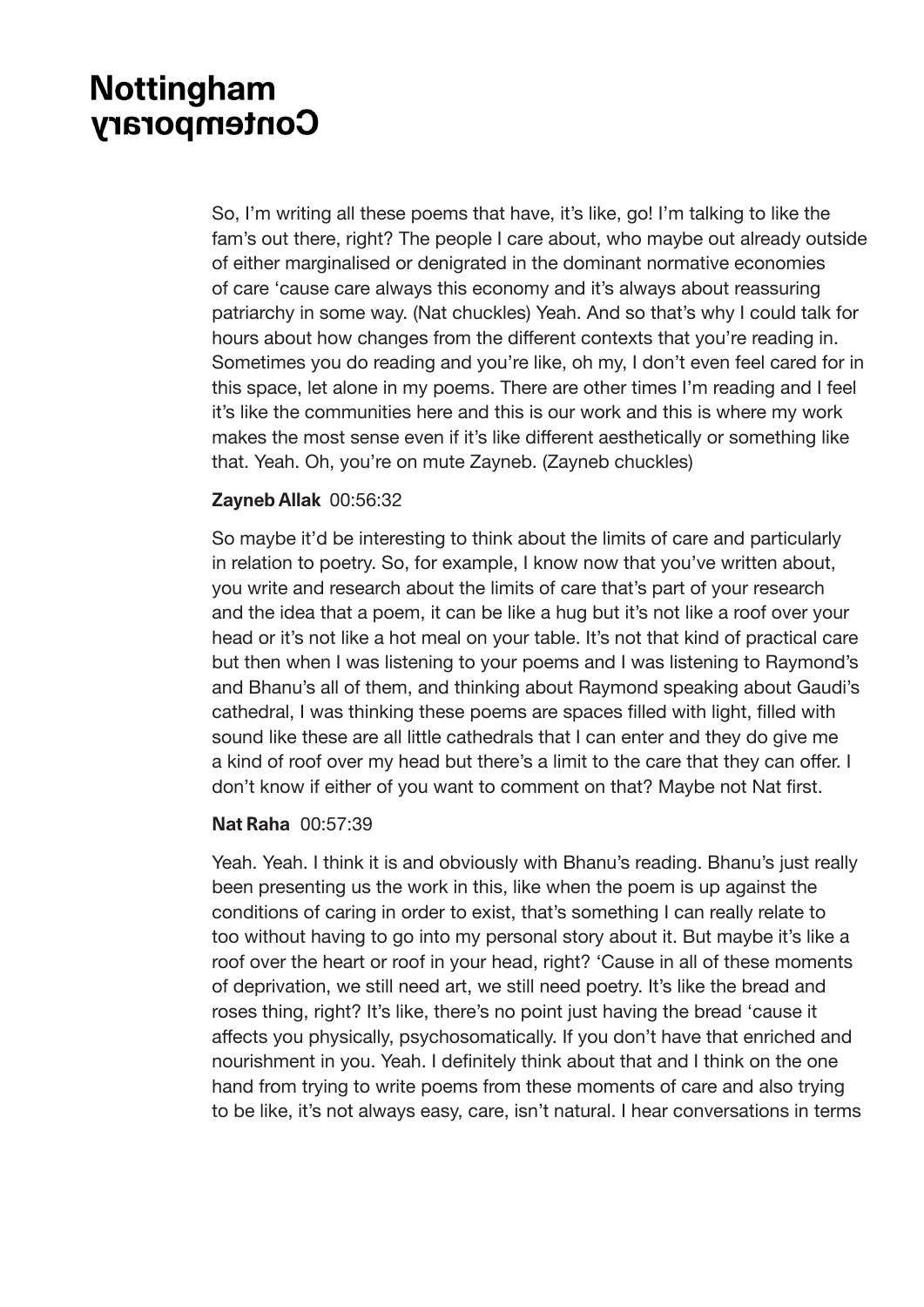So, I'm writing all these poems that have, it's like, go! I'm talking to like the fam's out there, right? The people I care about, who maybe out already outside of either marginalised or denigrated in the dominant normative economies of care 'cause care always this economy and it's always about reassuring patriarchy in some way. (Nat chuckles) Yeah. And so that's why I could talk for hours about how changes from the different contexts that you're reading in. Sometimes you do reading and you're like, oh my, I don't even feel cared for in this space, let alone in my poems. There are other times I'm reading and I feel it's like the communities here and this is our work and this is where my work makes the most sense even if it's like different aesthetically or something like that. Yeah. Oh, you're on mute Zayneb. (Zayneb chuckles)

### **Zayneb Allak** 00:56:32

So maybe it'd be interesting to think about the limits of care and particularly in relation to poetry. So, for example, I know now that you've written about, you write and research about the limits of care that's part of your research and the idea that a poem, it can be like a hug but it's not like a roof over your head or it's not like a hot meal on your table. It's not that kind of practical care but then when I was listening to your poems and I was listening to Raymond's and Bhanu's all of them, and thinking about Raymond speaking about Gaudi's cathedral, I was thinking these poems are spaces filled with light, filled with sound like these are all little cathedrals that I can enter and they do give me a kind of roof over my head but there's a limit to the care that they can offer. I don't know if either of you want to comment on that? Maybe not Nat first.

#### **Nat Raha** 00:57:39

Yeah. Yeah. I think it is and obviously with Bhanu's reading. Bhanu's just really been presenting us the work in this, like when the poem is up against the conditions of caring in order to exist, that's something I can really relate to too without having to go into my personal story about it. But maybe it's like a roof over the heart or roof in your head, right? 'Cause in all of these moments of deprivation, we still need art, we still need poetry. It's like the bread and roses thing, right? It's like, there's no point just having the bread 'cause it affects you physically, psychosomatically. If you don't have that enriched and nourishment in you. Yeah. I definitely think about that and I think on the one hand from trying to write poems from these moments of care and also trying to be like, it's not always easy, care, isn't natural. I hear conversations in terms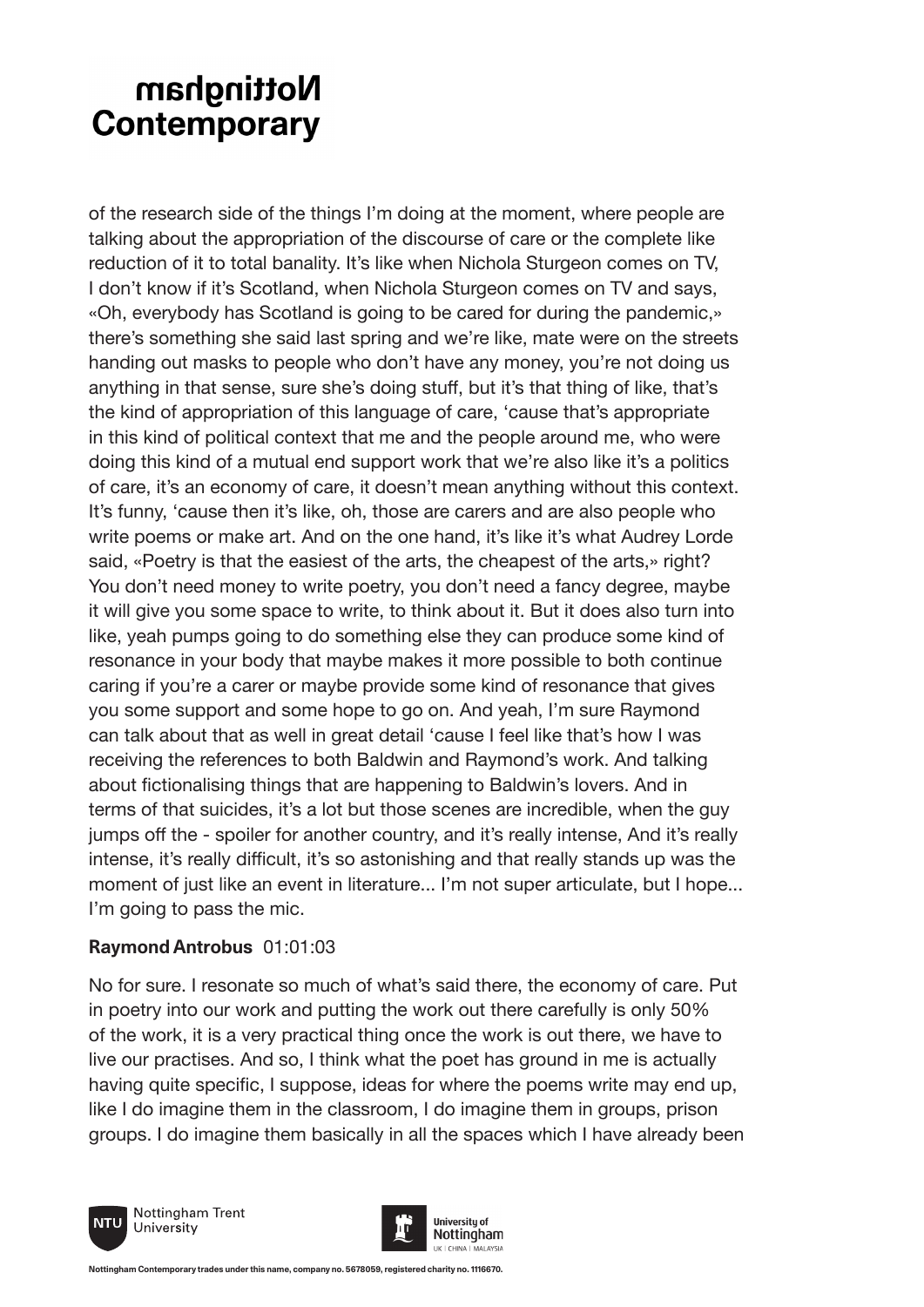of the research side of the things I'm doing at the moment, where people are talking about the appropriation of the discourse of care or the complete like reduction of it to total banality. It's like when Nichola Sturgeon comes on TV, I don't know if it's Scotland, when Nichola Sturgeon comes on TV and says, «Oh, everybody has Scotland is going to be cared for during the pandemic,» there's something she said last spring and we're like, mate were on the streets handing out masks to people who don't have any money, you're not doing us anything in that sense, sure she's doing stuff, but it's that thing of like, that's the kind of appropriation of this language of care, 'cause that's appropriate in this kind of political context that me and the people around me, who were doing this kind of a mutual end support work that we're also like it's a politics of care, it's an economy of care, it doesn't mean anything without this context. It's funny, 'cause then it's like, oh, those are carers and are also people who write poems or make art. And on the one hand, it's like it's what Audrey Lorde said, «Poetry is that the easiest of the arts, the cheapest of the arts,» right? You don't need money to write poetry, you don't need a fancy degree, maybe it will give you some space to write, to think about it. But it does also turn into like, yeah pumps going to do something else they can produce some kind of resonance in your body that maybe makes it more possible to both continue caring if you're a carer or maybe provide some kind of resonance that gives you some support and some hope to go on. And yeah, I'm sure Raymond can talk about that as well in great detail 'cause I feel like that's how I was receiving the references to both Baldwin and Raymond's work. And talking about fictionalising things that are happening to Baldwin's lovers. And in terms of that suicides, it's a lot but those scenes are incredible, when the guy jumps off the - spoiler for another country, and it's really intense, And it's really intense, it's really difficult, it's so astonishing and that really stands up was the moment of just like an event in literature... I'm not super articulate, but I hope... I'm going to pass the mic.

### **Raymond Antrobus** 01:01:03

No for sure. I resonate so much of what's said there, the economy of care. Put in poetry into our work and putting the work out there carefully is only 50% of the work, it is a very practical thing once the work is out there, we have to live our practises. And so, I think what the poet has ground in me is actually having quite specific, I suppose, ideas for where the poems write may end up, like I do imagine them in the classroom, I do imagine them in groups, prison groups. I do imagine them basically in all the spaces which I have already been



Nottingham Trent University

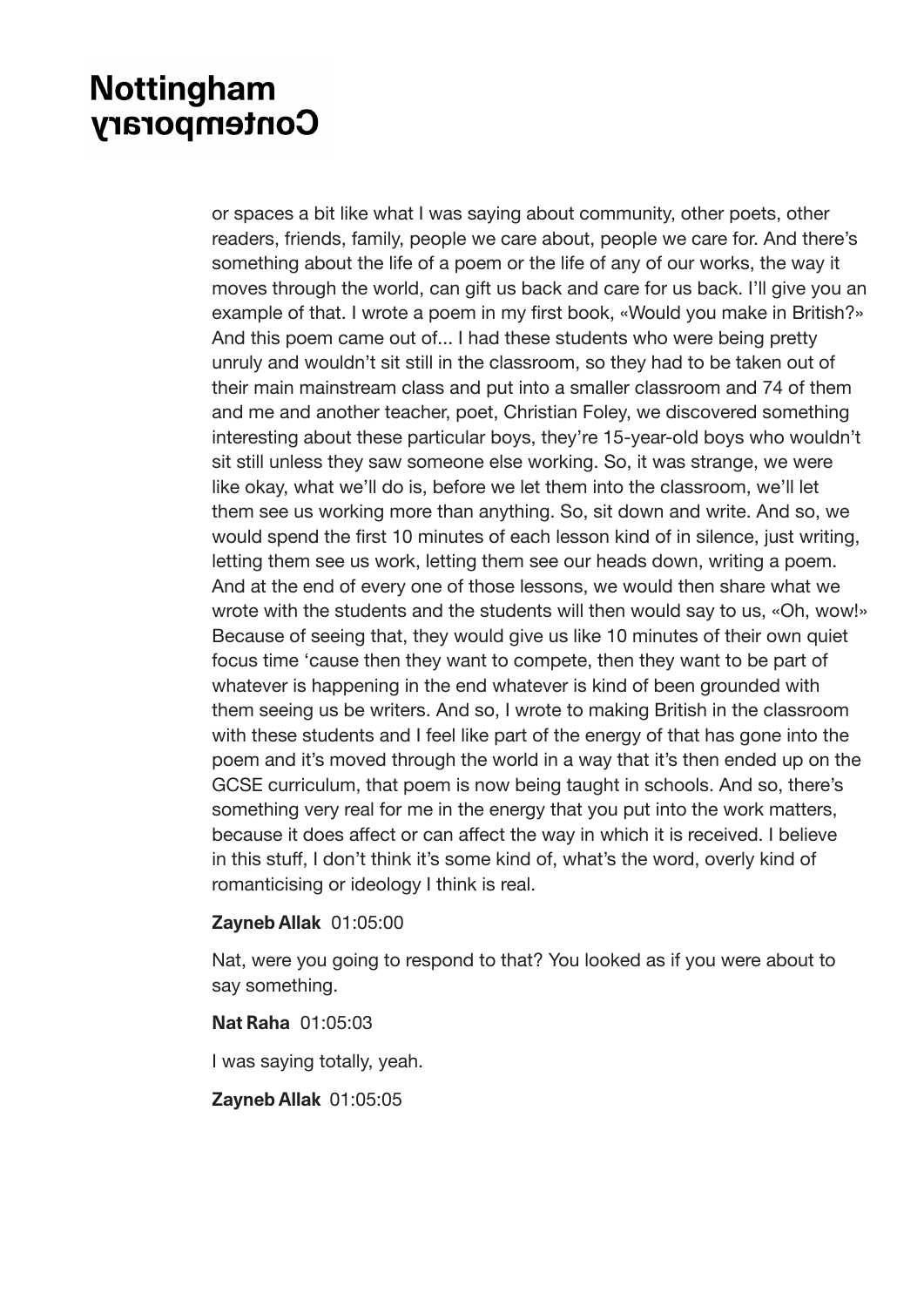or spaces a bit like what I was saying about community, other poets, other readers, friends, family, people we care about, people we care for. And there's something about the life of a poem or the life of any of our works, the way it moves through the world, can gift us back and care for us back. I'll give you an example of that. I wrote a poem in my first book, «Would you make in British?» And this poem came out of... I had these students who were being pretty unruly and wouldn't sit still in the classroom, so they had to be taken out of their main mainstream class and put into a smaller classroom and 74 of them and me and another teacher, poet, Christian Foley, we discovered something interesting about these particular boys, they're 15-year-old boys who wouldn't sit still unless they saw someone else working. So, it was strange, we were like okay, what we'll do is, before we let them into the classroom, we'll let them see us working more than anything. So, sit down and write. And so, we would spend the first 10 minutes of each lesson kind of in silence, just writing, letting them see us work, letting them see our heads down, writing a poem. And at the end of every one of those lessons, we would then share what we wrote with the students and the students will then would say to us, «Oh, wow!» Because of seeing that, they would give us like 10 minutes of their own quiet focus time 'cause then they want to compete, then they want to be part of whatever is happening in the end whatever is kind of been grounded with them seeing us be writers. And so, I wrote to making British in the classroom with these students and I feel like part of the energy of that has gone into the poem and it's moved through the world in a way that it's then ended up on the GCSE curriculum, that poem is now being taught in schools. And so, there's something very real for me in the energy that you put into the work matters, because it does affect or can affect the way in which it is received. I believe in this stuff, I don't think it's some kind of, what's the word, overly kind of romanticising or ideology I think is real.

#### **Zayneb Allak** 01:05:00

Nat, were you going to respond to that? You looked as if you were about to say something.

#### **Nat Raha** 01:05:03

I was saying totally, yeah.

#### **Zayneb Allak** 01:05:05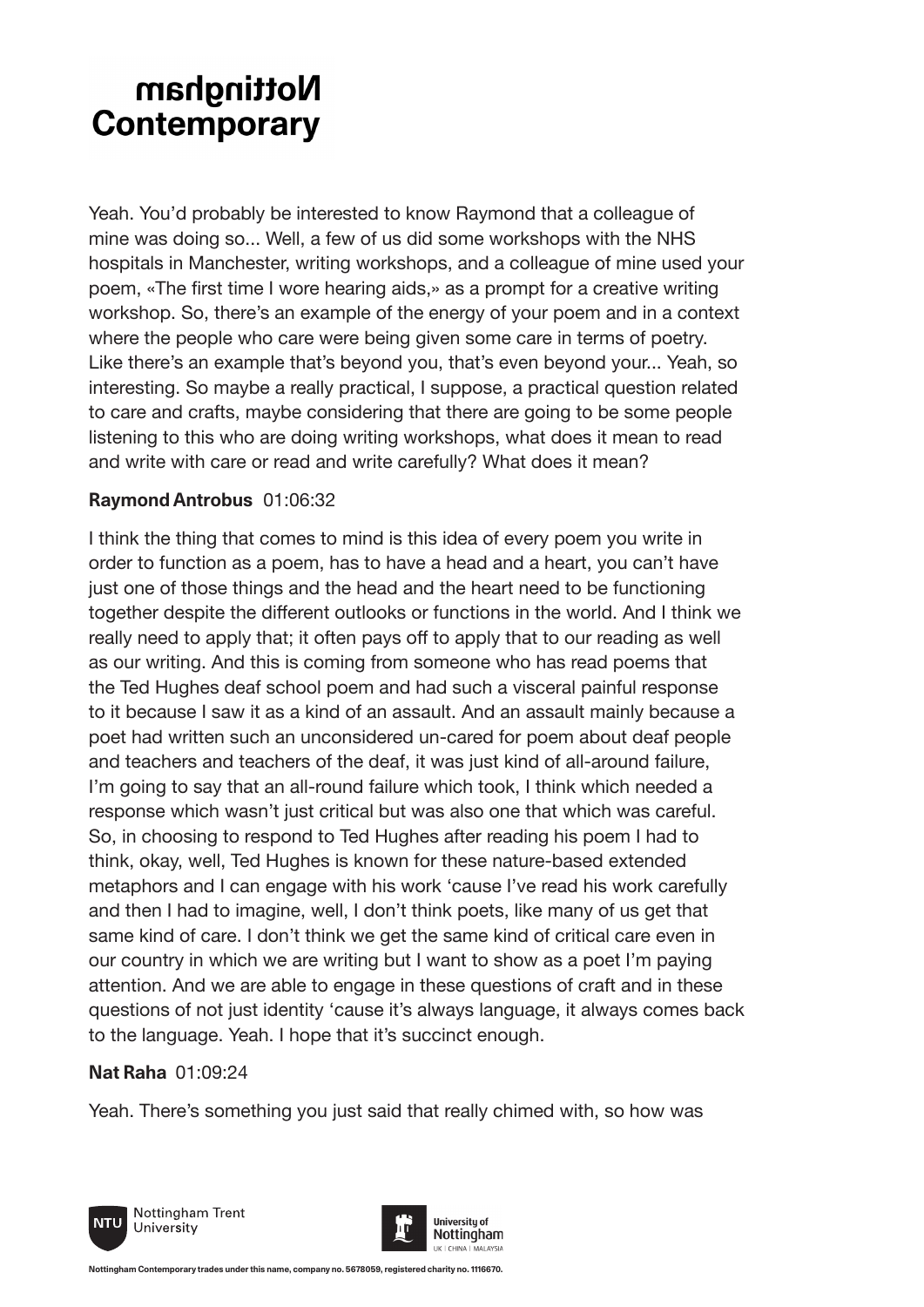Yeah. You'd probably be interested to know Raymond that a colleague of mine was doing so... Well, a few of us did some workshops with the NHS hospitals in Manchester, writing workshops, and a colleague of mine used your poem, «The first time I wore hearing aids,» as a prompt for a creative writing workshop. So, there's an example of the energy of your poem and in a context where the people who care were being given some care in terms of poetry. Like there's an example that's beyond you, that's even beyond your... Yeah, so interesting. So maybe a really practical, I suppose, a practical question related to care and crafts, maybe considering that there are going to be some people listening to this who are doing writing workshops, what does it mean to read and write with care or read and write carefully? What does it mean?

### **Raymond Antrobus** 01:06:32

I think the thing that comes to mind is this idea of every poem you write in order to function as a poem, has to have a head and a heart, you can't have just one of those things and the head and the heart need to be functioning together despite the different outlooks or functions in the world. And I think we really need to apply that; it often pays off to apply that to our reading as well as our writing. And this is coming from someone who has read poems that the Ted Hughes deaf school poem and had such a visceral painful response to it because I saw it as a kind of an assault. And an assault mainly because a poet had written such an unconsidered un-cared for poem about deaf people and teachers and teachers of the deaf, it was just kind of all-around failure, I'm going to say that an all-round failure which took, I think which needed a response which wasn't just critical but was also one that which was careful. So, in choosing to respond to Ted Hughes after reading his poem I had to think, okay, well, Ted Hughes is known for these nature-based extended metaphors and I can engage with his work 'cause I've read his work carefully and then I had to imagine, well, I don't think poets, like many of us get that same kind of care. I don't think we get the same kind of critical care even in our country in which we are writing but I want to show as a poet I'm paying attention. And we are able to engage in these questions of craft and in these questions of not just identity 'cause it's always language, it always comes back to the language. Yeah. I hope that it's succinct enough.

### **Nat Raha** 01:09:24

Yeah. There's something you just said that really chimed with, so how was



Nottingham Trent University

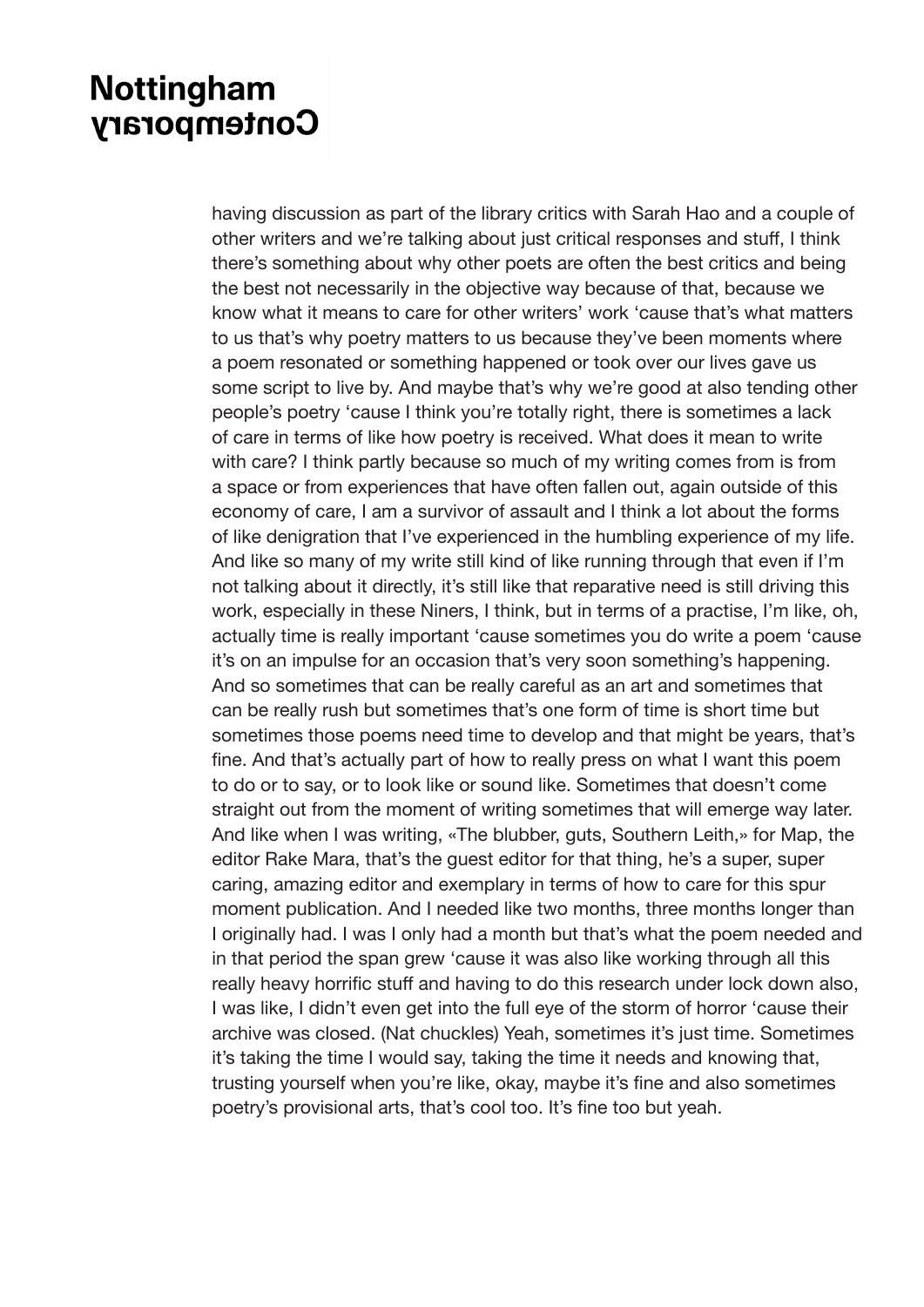having discussion as part of the library critics with Sarah Hao and a couple of other writers and we're talking about just critical responses and stuff, I think there's something about why other poets are often the best critics and being the best not necessarily in the objective way because of that, because we know what it means to care for other writers' work 'cause that's what matters to us that's why poetry matters to us because they've been moments where a poem resonated or something happened or took over our lives gave us some script to live by. And maybe that's why we're good at also tending other people's poetry 'cause I think you're totally right, there is sometimes a lack of care in terms of like how poetry is received. What does it mean to write with care? I think partly because so much of my writing comes from is from a space or from experiences that have often fallen out, again outside of this economy of care, I am a survivor of assault and I think a lot about the forms of like denigration that I've experienced in the humbling experience of my life. And like so many of my write still kind of like running through that even if I'm not talking about it directly, it's still like that reparative need is still driving this work, especially in these Niners, I think, but in terms of a practise, I'm like, oh, actually time is really important 'cause sometimes you do write a poem 'cause it's on an impulse for an occasion that's very soon something's happening. And so sometimes that can be really careful as an art and sometimes that can be really rush but sometimes that's one form of time is short time but sometimes those poems need time to develop and that might be years, that's fine. And that's actually part of how to really press on what I want this poem to do or to say, or to look like or sound like. Sometimes that doesn't come straight out from the moment of writing sometimes that will emerge way later. And like when I was writing, «The blubber, guts, Southern Leith,» for Map, the editor Rake Mara, that's the guest editor for that thing, he's a super, super caring, amazing editor and exemplary in terms of how to care for this spur moment publication. And I needed like two months, three months longer than I originally had. I was I only had a month but that's what the poem needed and in that period the span grew 'cause it was also like working through all this really heavy horrific stuff and having to do this research under lock down also, I was like, I didn't even get into the full eye of the storm of horror 'cause their archive was closed. (Nat chuckles) Yeah, sometimes it's just time. Sometimes it's taking the time I would say, taking the time it needs and knowing that, trusting yourself when you're like, okay, maybe it's fine and also sometimes poetry's provisional arts, that's cool too. It's fine too but yeah.